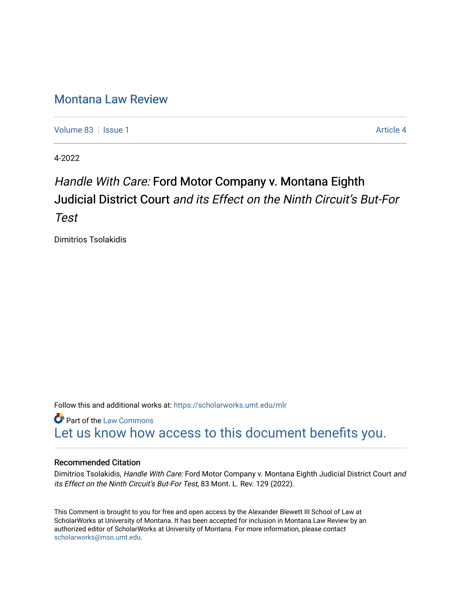## [Montana Law Review](https://scholarworks.umt.edu/mlr)

[Volume 83](https://scholarworks.umt.edu/mlr/vol83) | [Issue 1](https://scholarworks.umt.edu/mlr/vol83/iss1) Article 4

4-2022

# Handle With Care: Ford Motor Company v. Montana Eighth Judicial District Court and its Effect on the Ninth Circuit's But-For Test

Dimitrios Tsolakidis

Follow this and additional works at: [https://scholarworks.umt.edu/mlr](https://scholarworks.umt.edu/mlr?utm_source=scholarworks.umt.edu%2Fmlr%2Fvol83%2Fiss1%2F4&utm_medium=PDF&utm_campaign=PDFCoverPages) 

**Part of the [Law Commons](http://network.bepress.com/hgg/discipline/578?utm_source=scholarworks.umt.edu%2Fmlr%2Fvol83%2Fiss1%2F4&utm_medium=PDF&utm_campaign=PDFCoverPages)** [Let us know how access to this document benefits you.](https://goo.gl/forms/s2rGfXOLzz71qgsB2) 

#### Recommended Citation

Dimitrios Tsolakidis, Handle With Care: Ford Motor Company v. Montana Eighth Judicial District Court and its Effect on the Ninth Circuit's But-For Test, 83 Mont. L. Rev. 129 (2022).

This Comment is brought to you for free and open access by the Alexander Blewett III School of Law at ScholarWorks at University of Montana. It has been accepted for inclusion in Montana Law Review by an authorized editor of ScholarWorks at University of Montana. For more information, please contact [scholarworks@mso.umt.edu.](mailto:scholarworks@mso.umt.edu)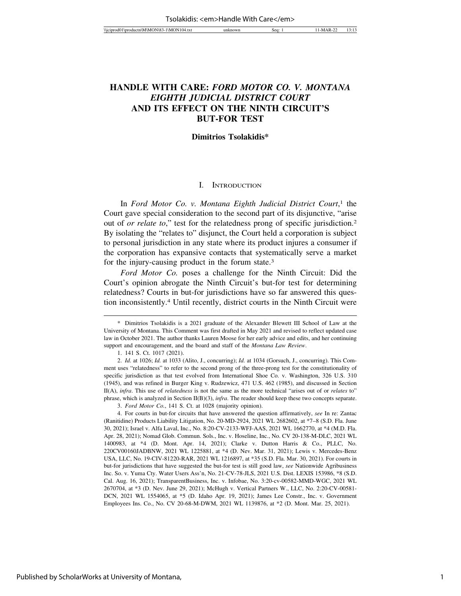## **HANDLE WITH CARE:** *FORD MOTOR CO. V. MONTANA EIGHTH JUDICIAL DISTRICT COURT* **AND ITS EFFECT ON THE NINTH CIRCUIT'S BUT-FOR TEST**

#### **Dimitrios Tsolakidis\***

#### I. INTRODUCTION

In *Ford Motor Co. v. Montana Eighth Judicial District Court*, 1 the Court gave special consideration to the second part of its disjunctive, "arise out of *or relate to*," test for the relatedness prong of specific jurisdiction.2 By isolating the "relates to" disjunct, the Court held a corporation is subject to personal jurisdiction in any state where its product injures a consumer if the corporation has expansive contacts that systematically serve a market for the injury-causing product in the forum state.3

*Ford Motor Co.* poses a challenge for the Ninth Circuit: Did the Court's opinion abrogate the Ninth Circuit's but-for test for determining relatedness? Courts in but-for jurisdictions have so far answered this question inconsistently.4 Until recently, district courts in the Ninth Circuit were

<sup>\*</sup> Dimitrios Tsolakidis is a 2021 graduate of the Alexander Blewett III School of Law at the University of Montana. This Comment was first drafted in May 2021 and revised to reflect updated case law in October 2021. The author thanks Lauren Moose for her early advice and edits, and her continuing support and encouragement, and the board and staff of the *Montana Law Review*.

<sup>1. 141</sup> S. Ct. 1017 (2021).

<sup>2.</sup> *Id.* at 1026; *Id.* at 1033 (Alito, J., concurring); *Id.* at 1034 (Gorsuch, J., concurring). This Comment uses "relatedness" to refer to the second prong of the three-prong test for the constitutionality of specific jurisdiction as that test evolved from International Shoe Co. v. Washington, 326 U.S. 310 (1945), and was refined in Burger King v. Rudzewicz, 471 U.S. 462 (1985), and discussed in Section II(A), *infra*. This use of *relatedness* is not the same as the more technical "arises out of or *relates* to" phrase, which is analyzed in Section II(B)(3), *infra*. The reader should keep these two concepts separate.

<sup>3.</sup> *Ford Motor Co.*, 141 S. Ct. at 1028 (majority opinion).

<sup>4.</sup> For courts in but-for circuits that have answered the question affirmatively, *see* In re: Zantac (Ranitidine) Products Liability Litigation, No. 20-MD-2924, 2021 WL 2682602, at \*7–8 (S.D. Fla. June 30, 2021); Israel v. Alfa Laval, Inc., No. 8:20-CV-2133-WFJ-AAS, 2021 WL 1662770, at \*4 (M.D. Fla. Apr. 28, 2021); Nomad Glob. Commun. Sols., Inc. v. Hoseline, Inc., No. CV 20-138-M-DLC, 2021 WL 1400983, at \*4 (D. Mont. Apr. 14, 2021); Clarke v. Dutton Harris & Co., PLLC, No. 220CV00160JADBNW, 2021 WL 1225881, at \*4 (D. Nev. Mar. 31, 2021); Lewis v. Mercedes-Benz USA, LLC, No. 19-CIV-81220-RAR, 2021 WL 1216897, at \*35 (S.D. Fla. Mar. 30, 2021). For courts in but-for jurisdictions that have suggested the but-for test is still good law, *see* Nationwide Agribusiness Inc. So. v. Yuma Cty. Water Users Ass'n, No. 21-CV-78-JLS, 2021 U.S. Dist. LEXIS 153986, \*8 (S.D. Cal. Aug. 16, 2021); TransparentBusiness, Inc. v. Infobae, No. 3:20-cv-00582-MMD-WGC, 2021 WL 2670704, at \*3 (D. Nev. June 29, 2021); McHugh v. Vertical Partners W., LLC, No. 2:20-CV-00581- DCN, 2021 WL 1554065, at \*5 (D. Idaho Apr. 19, 2021); James Lee Constr., Inc. v. Government Employees Ins. Co., No. CV 20-68-M-DWM, 2021 WL 1139876, at \*2 (D. Mont. Mar. 25, 2021).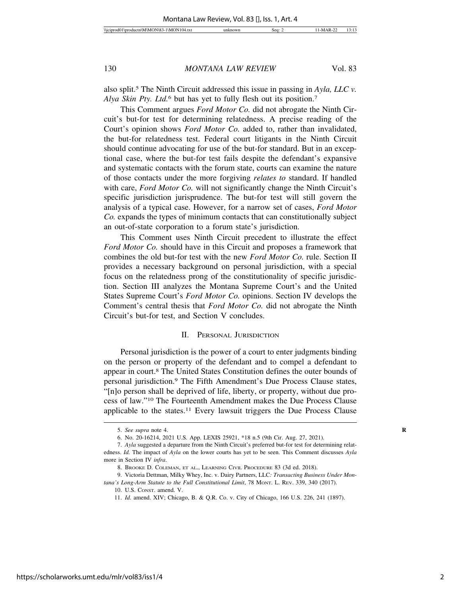also split.5 The Ninth Circuit addressed this issue in passing in *Ayla, LLC v. Alya Skin Pty. Ltd.*6 but has yet to fully flesh out its position.7

This Comment argues *Ford Motor Co.* did not abrogate the Ninth Circuit's but-for test for determining relatedness. A precise reading of the Court's opinion shows *Ford Motor Co.* added to, rather than invalidated, the but-for relatedness test. Federal court litigants in the Ninth Circuit should continue advocating for use of the but-for standard. But in an exceptional case, where the but-for test fails despite the defendant's expansive and systematic contacts with the forum state, courts can examine the nature of those contacts under the more forgiving *relates to* standard. If handled with care, *Ford Motor Co.* will not significantly change the Ninth Circuit's specific jurisdiction jurisprudence. The but-for test will still govern the analysis of a typical case. However, for a narrow set of cases, *Ford Motor Co.* expands the types of minimum contacts that can constitutionally subject an out-of-state corporation to a forum state's jurisdiction.

This Comment uses Ninth Circuit precedent to illustrate the effect *Ford Motor Co.* should have in this Circuit and proposes a framework that combines the old but-for test with the new *Ford Motor Co.* rule. Section II provides a necessary background on personal jurisdiction, with a special focus on the relatedness prong of the constitutionality of specific jurisdiction. Section III analyzes the Montana Supreme Court's and the United States Supreme Court's *Ford Motor Co.* opinions. Section IV develops the Comment's central thesis that *Ford Motor Co.* did not abrogate the Ninth Circuit's but-for test, and Section V concludes.

#### II. PERSONAL JURISDICTION

Personal jurisdiction is the power of a court to enter judgments binding on the person or property of the defendant and to compel a defendant to appear in court.8 The United States Constitution defines the outer bounds of personal jurisdiction.9 The Fifth Amendment's Due Process Clause states, "[n]o person shall be deprived of life, liberty, or property, without due process of law."10 The Fourteenth Amendment makes the Due Process Clause applicable to the states.11 Every lawsuit triggers the Due Process Clause

<sup>5.</sup> *See supra* note 4. **R**

<sup>6.</sup> No. 20-16214, 2021 U.S. App. LEXIS 25921, \*18 n.5 (9th Cir. Aug. 27, 2021).

<sup>7.</sup> *Ayla* suggested a departure from the Ninth Circuit's preferred but-for test for determining relatedness. *Id.* The impact of *Ayla* on the lower courts has yet to be seen. This Comment discusses *Ayla* more in Section IV *infra*.

<sup>8.</sup> BROOKE D. COLEMAN, ET AL., LEARNING CIVIL PROCEDURE 83 (3d ed. 2018).

<sup>9.</sup> Victoria Dettman, Milky Whey, Inc. v. Dairy Partners, LLC*: Transacting Business Under Montana's Long-Arm Statute to the Full Constitutional Limit*, 78 MONT. L. REV. 339, 340 (2017).

<sup>10.</sup> U.S. CONST. amend. V.

<sup>11.</sup> *Id.* amend. XIV; Chicago, B. & Q.R. Co. v. City of Chicago, 166 U.S. 226, 241 (1897).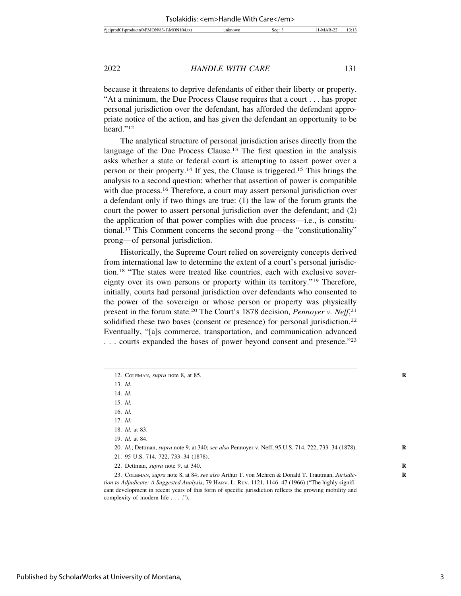because it threatens to deprive defendants of either their liberty or property. "At a minimum, the Due Process Clause requires that a court . . . has proper personal jurisdiction over the defendant, has afforded the defendant appropriate notice of the action, and has given the defendant an opportunity to be heard."12

The analytical structure of personal jurisdiction arises directly from the language of the Due Process Clause.<sup>13</sup> The first question in the analysis asks whether a state or federal court is attempting to assert power over a person or their property.14 If yes, the Clause is triggered.15 This brings the analysis to a second question: whether that assertion of power is compatible with due process.<sup>16</sup> Therefore, a court may assert personal jurisdiction over a defendant only if two things are true: (1) the law of the forum grants the court the power to assert personal jurisdiction over the defendant; and (2) the application of that power complies with due process—i.e., is constitutional.17 This Comment concerns the second prong—the "constitutionality" prong—of personal jurisdiction.

Historically, the Supreme Court relied on sovereignty concepts derived from international law to determine the extent of a court's personal jurisdiction.18 "The states were treated like countries, each with exclusive sovereignty over its own persons or property within its territory."19 Therefore, initially, courts had personal jurisdiction over defendants who consented to the power of the sovereign or whose person or property was physically present in the forum state.20 The Court's 1878 decision, *Pennoyer v. Neff*, 21 solidified these two bases (consent or presence) for personal jurisdiction.<sup>22</sup> Eventually, "[a]s commerce, transportation, and communication advanced . . . courts expanded the bases of power beyond consent and presence."23

- 20. *Id.*; Dettman, *supra* note 9, at 340; *see also* Pennoyer v. Neff, 95 U.S. 714, 722, 733–34 (1878). **R**
- 21. 95 U.S. 714, 722, 733–34 (1878).

23. COLEMAN, *supra* note 8, at 84; *see also* Arthur T. von Mehren & Donald T. Trautman, *Jurisdic-* **R** *tion to Adjudicate: A Suggested Analysis*, 79 HARV. L. REV. 1121, 1146–47 (1966) ("The highly significant development in recent years of this form of specific jurisdiction reflects the growing mobility and complexity of modern life . . . .").

<sup>12.</sup> COLEMAN, *supra* note 8, at 85. **R**

<sup>13.</sup> *Id.*

<sup>14.</sup> *Id.*

<sup>15.</sup> *Id.*

<sup>16.</sup> *Id.*

<sup>17.</sup> *Id.*

<sup>18.</sup> *Id.* at 83.

<sup>19.</sup> *Id.* at 84.

<sup>22.</sup> Dettman, *supra* note 9, at 340. **R**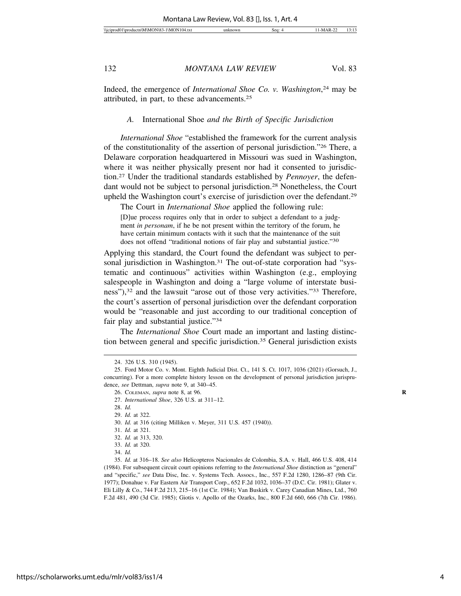Indeed, the emergence of *International Shoe Co. v. Washington*, 24 may be attributed, in part, to these advancements.25

#### *A.* International Shoe *and the Birth of Specific Jurisdiction*

*International Shoe* "established the framework for the current analysis of the constitutionality of the assertion of personal jurisdiction."26 There, a Delaware corporation headquartered in Missouri was sued in Washington, where it was neither physically present nor had it consented to jurisdiction.27 Under the traditional standards established by *Pennoyer*, the defendant would not be subject to personal jurisdiction.28 Nonetheless, the Court upheld the Washington court's exercise of jurisdiction over the defendant.29

The Court in *International Shoe* applied the following rule: [D]ue process requires only that in order to subject a defendant to a judgment *in personam*, if he be not present within the territory of the forum, he have certain minimum contacts with it such that the maintenance of the suit does not offend "traditional notions of fair play and substantial justice."30

Applying this standard, the Court found the defendant was subject to personal jurisdiction in Washington.<sup>31</sup> The out-of-state corporation had "systematic and continuous" activities within Washington (e.g., employing salespeople in Washington and doing a "large volume of interstate business"),32 and the lawsuit "arose out of those very activities."33 Therefore, the court's assertion of personal jurisdiction over the defendant corporation would be "reasonable and just according to our traditional conception of fair play and substantial justice."34

The *International Shoe* Court made an important and lasting distinction between general and specific jurisdiction.35 General jurisdiction exists

35. *Id.* at 316–18. *See also* Helicopteros Nacionales de Colombia, S.A. v. Hall, 466 U.S. 408, 414 (1984). For subsequent circuit court opinions referring to the *International Shoe* distinction as "general" and "specific," *see* Data Disc, Inc. v. Systems Tech. Assocs., Inc., 557 F.2d 1280, 1286–87 (9th Cir. 1977); Donahue v. Far Eastern Air Transport Corp., 652 F.2d 1032, 1036–37 (D.C. Cir. 1981); Glater v. Eli Lilly & Co., 744 F.2d 213, 215–16 (1st Cir. 1984); Van Buskirk v. Carey Canadian Mines, Ltd., 760 F.2d 481, 490 (3d Cir. 1985); Giotis v. Apollo of the Ozarks, Inc., 800 F.2d 660, 666 (7th Cir. 1986).

<sup>24. 326</sup> U.S. 310 (1945).

<sup>25.</sup> Ford Motor Co. v. Mont. Eighth Judicial Dist. Ct., 141 S. Ct. 1017, 1036 (2021) (Gorsuch, J., concurring). For a more complete history lesson on the development of personal jurisdiction jurisprudence, *see* Dettman, *supra* note 9, at 340–45.

<sup>26.</sup> COLEMAN, *supra* note 8, at 96. **R**

<sup>27.</sup> *International Shoe*, 326 U.S. at 311–12.

<sup>28.</sup> *Id.*

<sup>29.</sup> *Id.* at 322.

<sup>30.</sup> *Id.* at 316 (citing Milliken v. Meyer, 311 U.S. 457 (1940)).

<sup>31.</sup> *Id.* at 321.

<sup>32.</sup> *Id.* at 313, 320.

<sup>33.</sup> *Id.* at 320.

<sup>34.</sup> *Id.*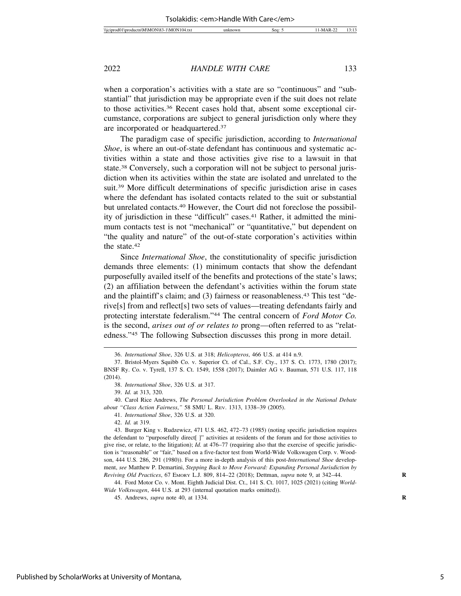when a corporation's activities with a state are so "continuous" and "substantial" that jurisdiction may be appropriate even if the suit does not relate to those activities.36 Recent cases hold that, absent some exceptional circumstance, corporations are subject to general jurisdiction only where they are incorporated or headquartered.37

The paradigm case of specific jurisdiction, according to *International Shoe*, is where an out-of-state defendant has continuous and systematic activities within a state and those activities give rise to a lawsuit in that state.38 Conversely, such a corporation will not be subject to personal jurisdiction when its activities within the state are isolated and unrelated to the suit.39 More difficult determinations of specific jurisdiction arise in cases where the defendant has isolated contacts related to the suit or substantial but unrelated contacts.40 However, the Court did not foreclose the possibility of jurisdiction in these "difficult" cases.41 Rather, it admitted the minimum contacts test is not "mechanical" or "quantitative," but dependent on "the quality and nature" of the out-of-state corporation's activities within the state.42

Since *International Shoe*, the constitutionality of specific jurisdiction demands three elements: (1) minimum contacts that show the defendant purposefully availed itself of the benefits and protections of the state's laws; (2) an affiliation between the defendant's activities within the forum state and the plaintiff's claim; and (3) fairness or reasonableness.43 This test "derive[s] from and reflect[s] two sets of values—treating defendants fairly and protecting interstate federalism."44 The central concern of *Ford Motor Co.* is the second, *arises out of or relates to* prong—often referred to as "relatedness."45 The following Subsection discusses this prong in more detail.

39. *Id.* at 313, 320.

40. Carol Rice Andrews, *The Personal Jurisdiction Problem Overlooked in the National Debate about "Class Action Fairness*,*"* 58 SMU L. REV. 1313, 1338–39 (2005).

41. *International Shoe*, 326 U.S. at 320.

42. *Id.* at 319.

43. Burger King v. Rudzewicz, 471 U.S. 462, 472–73 (1985) (noting specific jurisdiction requires the defendant to "purposefully direct[ ]" activities at residents of the forum and for those activities to give rise, or relate, to the litigation); *Id.* at 476–77 (requiring also that the exercise of specific jurisdiction is "reasonable" or "fair," based on a five-factor test from World-Wide Volkswagen Corp. v. Woodson, 444 U.S. 286, 291 (1980)). For a more in-depth analysis of this post-*International Shoe* development, *see* Matthew P. Demartini, *Stepping Back to Move Forward: Expanding Personal Jurisdiction by Reviving Old Practices*, 67 EMORY L.J. 809, 814–22 (2018); Dettman, *supra* note 9, at 342–44. **R**

44. Ford Motor Co. v. Mont. Eighth Judicial Dist. Ct., 141 S. Ct. 1017, 1025 (2021) (citing *World-Wide Volkswagen*, 444 U.S. at 293 (internal quotation marks omitted)).

<sup>36.</sup> *International Shoe*, 326 U.S. at 318; *Helicopteros*, 466 U.S. at 414 n.9.

<sup>37.</sup> Bristol-Myers Squibb Co. v. Superior Ct. of Cal., S.F. Cty., 137 S. Ct. 1773, 1780 (2017); BNSF Ry. Co. v. Tyrell, 137 S. Ct. 1549, 1558 (2017); Daimler AG v. Bauman, 571 U.S. 117, 118 (2014).

<sup>38.</sup> *International Shoe*, 326 U.S. at 317.

<sup>45.</sup> Andrews, *supra* note 40, at 1334. **R**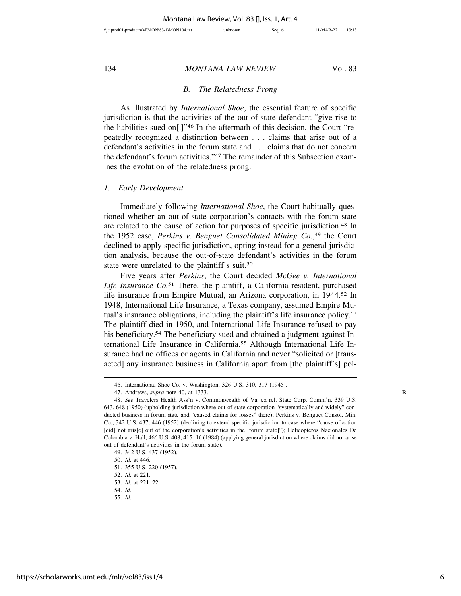#### *B. The Relatedness Prong*

As illustrated by *International Shoe*, the essential feature of specific jurisdiction is that the activities of the out-of-state defendant "give rise to the liabilities sued on[.]"46 In the aftermath of this decision, the Court "repeatedly recognized a distinction between . . . claims that arise out of a defendant's activities in the forum state and . . . claims that do not concern the defendant's forum activities."47 The remainder of this Subsection examines the evolution of the relatedness prong.

#### *1. Early Development*

Immediately following *International Shoe*, the Court habitually questioned whether an out-of-state corporation's contacts with the forum state are related to the cause of action for purposes of specific jurisdiction.48 In the 1952 case, *Perkins v. Benguet Consolidated Mining Co.*, 49 the Court declined to apply specific jurisdiction, opting instead for a general jurisdiction analysis, because the out-of-state defendant's activities in the forum state were unrelated to the plaintiff's suit.<sup>50</sup>

Five years after *Perkins*, the Court decided *McGee v. International Life Insurance Co.*51 There, the plaintiff, a California resident, purchased life insurance from Empire Mutual, an Arizona corporation, in 1944.52 In 1948, International Life Insurance, a Texas company, assumed Empire Mutual's insurance obligations, including the plaintiff's life insurance policy.53 The plaintiff died in 1950, and International Life Insurance refused to pay his beneficiary.<sup>54</sup> The beneficiary sued and obtained a judgment against International Life Insurance in California.55 Although International Life Insurance had no offices or agents in California and never "solicited or [transacted] any insurance business in California apart from [the plaintiff's] pol-

<sup>46.</sup> International Shoe Co. v. Washington, 326 U.S. 310, 317 (1945).

<sup>47.</sup> Andrews, *supra* note 40, at 1333. **R**

<sup>48.</sup> *See* Travelers Health Ass'n v. Commonwealth of Va. ex rel. State Corp. Comm'n, 339 U.S. 643, 648 (1950) (upholding jurisdiction where out-of-state corporation "systematically and widely" conducted business in forum state and "caused claims for losses" there); Perkins v. Benguet Consol. Min. Co., 342 U.S. 437, 446 (1952) (declining to extend specific jurisdiction to case where "cause of action [did] not aris[e] out of the corporation's activities in the [forum state]"); Helicopteros Nacionales De Colombia v. Hall, 466 U.S. 408, 415–16 (1984) (applying general jurisdiction where claims did not arise out of defendant's activities in the forum state).

<sup>49. 342</sup> U.S. 437 (1952).

<sup>50.</sup> *Id.* at 446.

<sup>51. 355</sup> U.S. 220 (1957).

<sup>52.</sup> *Id.* at 221.

<sup>53.</sup> *Id.* at 221–22.

<sup>54.</sup> *Id.*

<sup>55.</sup> *Id.*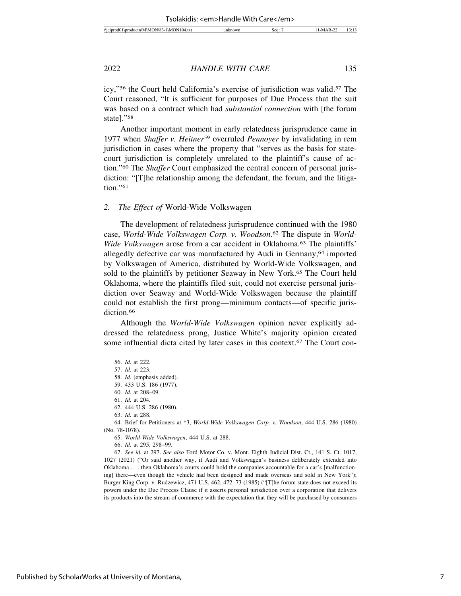icy,"56 the Court held California's exercise of jurisdiction was valid.57 The Court reasoned, "It is sufficient for purposes of Due Process that the suit was based on a contract which had *substantial connection* with [the forum state]."58

Another important moment in early relatedness jurisprudence came in 1977 when *Shaffer v. Heitner*59 overruled *Pennoyer* by invalidating in rem jurisdiction in cases where the property that "serves as the basis for statecourt jurisdiction is completely unrelated to the plaintiff's cause of action."60 The *Shaffer* Court emphasized the central concern of personal jurisdiction: "[T]he relationship among the defendant, the forum, and the litigation."<sup>61</sup>

#### *2. The Effect of* World-Wide Volkswagen

The development of relatedness jurisprudence continued with the 1980 case, *World-Wide Volkswagen Corp. v. Woodson*. 62 The dispute in *World-Wide Volkswagen* arose from a car accident in Oklahoma.<sup>63</sup> The plaintiffs' allegedly defective car was manufactured by Audi in Germany,<sup>64</sup> imported by Volkswagen of America, distributed by World-Wide Volkswagen, and sold to the plaintiffs by petitioner Seaway in New York.65 The Court held Oklahoma, where the plaintiffs filed suit, could not exercise personal jurisdiction over Seaway and World-Wide Volkswagen because the plaintiff could not establish the first prong—minimum contacts—of specific jurisdiction.<sup>66</sup>

Although the *World-Wide Volkswagen* opinion never explicitly addressed the relatedness prong, Justice White's majority opinion created some influential dicta cited by later cases in this context.67 The Court con-

64. Brief for Petitioners at \*3, *World-Wide Volkswagen Corp. v. Woodson*, 444 U.S. 286 (1980) (No. 78-1078).

<sup>56.</sup> *Id.* at 222.

<sup>57.</sup> *Id.* at 223.

<sup>58.</sup> *Id.* (emphasis added).

<sup>59. 433</sup> U.S. 186 (1977).

<sup>60.</sup> *Id.* at 208–09.

<sup>61.</sup> *Id.* at 204.

<sup>62. 444</sup> U.S. 286 (1980).

<sup>63.</sup> *Id.* at 288.

<sup>65.</sup> *World-Wide Volkswagen*, 444 U.S. at 288.

<sup>66.</sup> *Id.* at 295, 298–99.

<sup>67.</sup> *See id.* at 297. *See also* Ford Motor Co. v. Mont. Eighth Judicial Dist. Ct., 141 S. Ct. 1017, 1027 (2021) ("Or said another way, if Audi and Volkswagen's business deliberately extended into Oklahoma . . . then Oklahoma's courts could hold the companies accountable for a car's [malfunctioning] there—even though the vehicle had been designed and made overseas and sold in New York"); Burger King Corp. v. Rudzewicz, 471 U.S. 462, 472–73 (1985) ("[T]he forum state does not exceed its powers under the Due Process Clause if it asserts personal jurisdiction over a corporation that delivers its products into the stream of commerce with the expectation that they will be purchased by consumers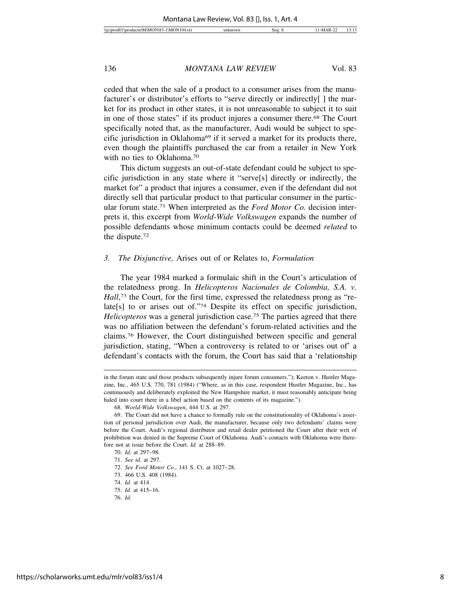ceded that when the sale of a product to a consumer arises from the manufacturer's or distributor's efforts to "serve directly or indirectly[ ] the market for its product in other states, it is not unreasonable to subject it to suit in one of those states" if its product injures a consumer there.68 The Court specifically noted that, as the manufacturer, Audi would be subject to specific jurisdiction in Oklahoma<sup>69</sup> if it served a market for its products there, even though the plaintiffs purchased the car from a retailer in New York with no ties to Oklahoma.70

This dictum suggests an out-of-state defendant could be subject to specific jurisdiction in any state where it "serve[s] directly or indirectly, the market for" a product that injures a consumer, even if the defendant did not directly sell that particular product to that particular consumer in the particular forum state.71 When interpreted as the *Ford Motor Co.* decision interprets it, this excerpt from *World-Wide Volkswagen* expands the number of possible defendants whose minimum contacts could be deemed *related* to the dispute.72

#### *3. The Disjunctive,* Arises out of or Relates to, *Formulation*

The year 1984 marked a formulaic shift in the Court's articulation of the relatedness prong. In *Helicopteros Nacionales de Colombia, S.A. v.* Hall,<sup>73</sup> the Court, for the first time, expressed the relatedness prong as "relate[s] to or arises out of."74 Despite its effect on specific jurisdiction, *Helicopteros* was a general jurisdiction case.<sup>75</sup> The parties agreed that there was no affiliation between the defendant's forum-related activities and the claims.76 However, the Court distinguished between specific and general jurisdiction, stating, "When a controversy is related to or 'arises out of' a defendant's contacts with the forum, the Court has said that a 'relationship

in the forum state and those products subsequently injure forum consumers."); Keeton v. Hustler Magazine, Inc., 465 U.S. 770, 781 (1984) ("Where, as in this case, respondent Hustler Magazine, Inc., has continuously and deliberately exploited the New Hampshire market, it must reasonably anticipate being haled into court there in a libel action based on the contents of its magazine.").

<sup>68.</sup> *World-Wide Volkswagen*, 444 U.S. at 297.

<sup>69.</sup> The Court did not have a chance to formally rule on the constitutionality of Oklahoma's assertion of personal jurisdiction over Audi, the manufacturer, because only two defendants' claims were before the Court. Audi's regional distributor and retail dealer petitioned the Court after their writ of prohibition was denied in the Supreme Court of Oklahoma. Audi's contacts with Oklahoma were therefore not at issue before the Court. *Id.* at 288–89.

<sup>70.</sup> *Id.* at 297–98.

<sup>71.</sup> *See id.* at 297.

<sup>72.</sup> *See Ford Motor Co.*, 141 S. Ct. at 1027–28.

<sup>73. 466</sup> U.S. 408 (1984).

<sup>74.</sup> *Id.* at 414.

<sup>75.</sup> *Id.* at 415–16.

<sup>76.</sup> *Id.*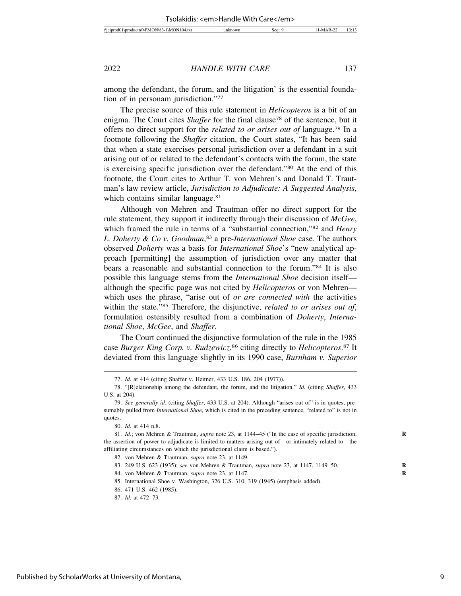among the defendant, the forum, and the litigation' is the essential foundation of in personam jurisdiction."77

The precise source of this rule statement in *Helicopteros* is a bit of an enigma. The Court cites *Shaffer* for the final clause<sup>78</sup> of the sentence, but it offers no direct support for the *related to or arises out of* language.79 In a footnote following the *Shaffer* citation, the Court states, "It has been said that when a state exercises personal jurisdiction over a defendant in a suit arising out of or related to the defendant's contacts with the forum, the state is exercising specific jurisdiction over the defendant."80 At the end of this footnote, the Court cites to Arthur T. von Mehren's and Donald T. Trautman's law review article, *Jurisdiction to Adjudicate: A Suggested Analysis*, which contains similar language.<sup>81</sup>

Although von Mehren and Trautman offer no direct support for the rule statement, they support it indirectly through their discussion of *McGee*, which framed the rule in terms of a "substantial connection,"82 and *Henry L. Doherty & Co v. Goodman*, 83 a pre-*International Shoe* case. The authors observed *Doherty* was a basis for *International Shoe*'s "new analytical approach [permitting] the assumption of jurisdiction over any matter that bears a reasonable and substantial connection to the forum."84 It is also possible this language stems from the *International Shoe* decision itself although the specific page was not cited by *Helicopteros* or von Mehren which uses the phrase, "arise out of *or are connected with* the activities within the state."85 Therefore, the disjunctive, *related to or arises out of*, formulation ostensibly resulted from a combination of *Doherty*, *International Shoe*, *McGee*, and *Shaffer*.

The Court continued the disjunctive formulation of the rule in the 1985 case *Burger King Corp. v. Rudzewicz*, 86 citing directly to *Helicopteros*. 87 It deviated from this language slightly in its 1990 case, *Burnham v. Superior*

<sup>77.</sup> *Id.* at 414 (citing Shaffer v. Heitner, 433 U.S. 186, 204 (1977)).

<sup>78. &</sup>quot;[R]elationship among the defendant, the forum, and the litigation." *Id.* (citing *Shaffer*, 433 U.S. at 204).

<sup>79.</sup> *See generally id.* (citing *Shaffer*, 433 U.S. at 204). Although "arises out of" is in quotes, presumably pulled from *International Shoe*, which is cited in the preceding sentence, "related to" is not in quotes.

<sup>80.</sup> *Id.* at 414 n.8.

<sup>81.</sup> *Id.*; von Mehren & Trautman, *supra* note 23, at 1144–45 ("In the case of specific jurisdiction, **R** the assertion of power to adjudicate is limited to matters arising out of—or intimately related to—the affiliating circumstances on which the jurisdictional claim is based.").

<sup>82.</sup> von Mehren & Trautman, *supra* note 23, at 1149.

<sup>83. 249</sup> U.S. 623 (1935); *see* von Mehren & Trautman, *supra* note 23, at 1147, 1149–50. **R**

<sup>84.</sup> von Mehren & Trautman, *supra* note 23, at 1147. **R**

<sup>85.</sup> International Shoe v. Washington, 326 U.S. 310, 319 (1945) (emphasis added).

<sup>86. 471</sup> U.S. 462 (1985).

<sup>87.</sup> *Id.* at 472–73.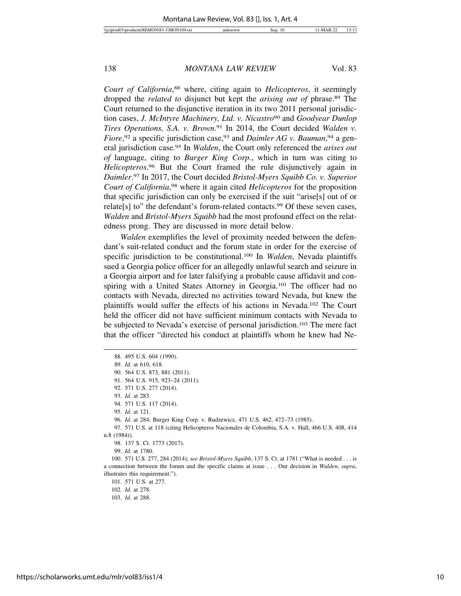*Court of California*, 88 where, citing again to *Helicopteros*, it seemingly dropped the *related to* disjunct but kept the *arising out of* phrase.89 The Court returned to the disjunctive iteration in its two 2011 personal jurisdiction cases, *J. McIntyre Machinery, Ltd. v. Nicastro*90 and *Goodyear Dunlop Tires Operations, S.A. v. Brown*. 91 In 2014, the Court decided *Walden v.* Fiore,<sup>92</sup> a specific jurisdiction case,<sup>93</sup> and *Daimler AG v. Bauman*,<sup>94</sup> a general jurisdiction case.95 In *Walden*, the Court only referenced the *arises out of* language, citing to *Burger King Corp.*, which in turn was citing to *Helicopteros*. 96 But the Court framed the rule disjunctively again in *Daimler*. 97 In 2017, the Court decided *Bristol-Myers Squibb Co. v. Superior Court of California*, 98 where it again cited *Helicopteros* for the proposition that specific jurisdiction can only be exercised if the suit "arise[s] out of or relate[s] to" the defendant's forum-related contacts.99 Of these seven cases, *Walden* and *Bristol-Myers Squibb* had the most profound effect on the relatedness prong. They are discussed in more detail below.

*Walden* exemplifies the level of proximity needed between the defendant's suit-related conduct and the forum state in order for the exercise of specific jurisdiction to be constitutional.100 In *Walden*, Nevada plaintiffs sued a Georgia police officer for an allegedly unlawful search and seizure in a Georgia airport and for later falsifying a probable cause affidavit and conspiring with a United States Attorney in Georgia.101 The officer had no contacts with Nevada, directed no activities toward Nevada, but knew the plaintiffs would suffer the effects of his actions in Nevada.102 The Court held the officer did not have sufficient minimum contacts with Nevada to be subjected to Nevada's exercise of personal jurisdiction.103 The mere fact that the officer "directed his conduct at plaintiffs whom he knew had Ne-

96. *Id.* at 284; Burger King Corp. v. Rudzewicz, 471 U.S. 462, 472–73 (1985).

97. 571 U.S. at 118 (citing Helicopteros Nacionales de Colombia, S.A. v. Hall, 466 U.S. 408, 414 n.8 (1984)).

100. 571 U.S. 277, 284 (2014); *see Bristol-Myers Squibb*, 137 S. Ct. at 1781 ("What is needed . . . is a connection between the forum and the specific claims at issue . . . Our decision in *Walden*, *supra*, illustrates this requirement.").

101. 571 U.S. at 277.

<sup>88. 495</sup> U.S. 604 (1990).

<sup>89.</sup> *Id.* at 610, 618.

<sup>90. 564</sup> U.S. 873, 881 (2011).

<sup>91. 564</sup> U.S. 915, 923–24 (2011).

<sup>92. 571</sup> U.S. 277 (2014).

<sup>93.</sup> *Id.* at 283.

<sup>94. 571</sup> U.S. 117 (2014).

<sup>95.</sup> *Id.* at 121.

<sup>98. 137</sup> S. Ct. 1773 (2017).

<sup>99.</sup> *Id.* at 1780.

<sup>102.</sup> *Id.* at 278.

<sup>103.</sup> *Id.* at 288.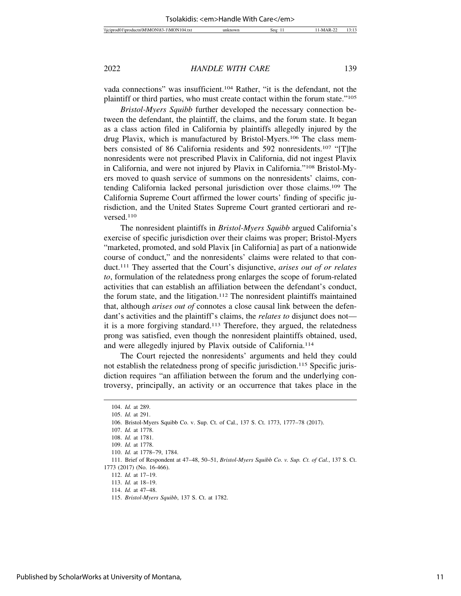vada connections" was insufficient.104 Rather, "it is the defendant, not the plaintiff or third parties, who must create contact within the forum state."105

*Bristol-Myers Squibb* further developed the necessary connection between the defendant, the plaintiff, the claims, and the forum state. It began as a class action filed in California by plaintiffs allegedly injured by the drug Plavix, which is manufactured by Bristol-Myers.106 The class members consisted of 86 California residents and 592 nonresidents.107 "[T]he nonresidents were not prescribed Plavix in California, did not ingest Plavix in California, and were not injured by Plavix in California."108 Bristol-Myers moved to quash service of summons on the nonresidents' claims, contending California lacked personal jurisdiction over those claims.109 The California Supreme Court affirmed the lower courts' finding of specific jurisdiction, and the United States Supreme Court granted certiorari and reversed.110

The nonresident plaintiffs in *Bristol-Myers Squibb* argued California's exercise of specific jurisdiction over their claims was proper; Bristol-Myers "marketed, promoted, and sold Plavix [in California] as part of a nationwide course of conduct," and the nonresidents' claims were related to that conduct.111 They asserted that the Court's disjunctive, *arises out of or relates to*, formulation of the relatedness prong enlarges the scope of forum-related activities that can establish an affiliation between the defendant's conduct, the forum state, and the litigation.112 The nonresident plaintiffs maintained that, although *arises out of* connotes a close causal link between the defendant's activities and the plaintiff's claims, the *relates to* disjunct does not it is a more forgiving standard.113 Therefore, they argued, the relatedness prong was satisfied, even though the nonresident plaintiffs obtained, used, and were allegedly injured by Plavix outside of California.114

The Court rejected the nonresidents' arguments and held they could not establish the relatedness prong of specific jurisdiction.115 Specific jurisdiction requires "an affiliation between the forum and the underlying controversy, principally, an activity or an occurrence that takes place in the

<sup>104.</sup> *Id.* at 289.

<sup>105.</sup> *Id.* at 291.

<sup>106.</sup> Bristol-Myers Squibb Co. v. Sup. Ct. of Cal., 137 S. Ct. 1773, 1777–78 (2017).

<sup>107.</sup> *Id.* at 1778.

<sup>108.</sup> *Id.* at 1781.

<sup>109.</sup> *Id.* at 1778.

<sup>110.</sup> *Id.* at 1778–79, 1784.

<sup>111.</sup> Brief of Respondent at 47–48, 50–51, *Bristol-Myers Squibb Co. v. Sup. Ct. of Cal.*, 137 S. Ct. 1773 (2017) (No. 16-466).

<sup>112.</sup> *Id.* at 17–19.

<sup>113.</sup> *Id.* at 18–19.

<sup>114.</sup> *Id.* at 47–48.

<sup>115.</sup> *Bristol-Myers Squibb*, 137 S. Ct. at 1782.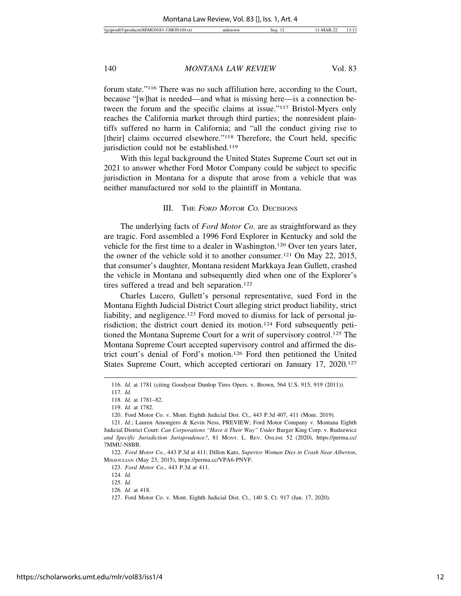forum state."116 There was no such affiliation here, according to the Court, because "[w]hat is needed—and what is missing here—is a connection between the forum and the specific claims at issue."117 Bristol-Myers only reaches the California market through third parties; the nonresident plaintiffs suffered no harm in California; and "all the conduct giving rise to [their] claims occurred elsewhere."<sup>118</sup> Therefore, the Court held, specific jurisdiction could not be established.<sup>119</sup>

With this legal background the United States Supreme Court set out in 2021 to answer whether Ford Motor Company could be subject to specific jurisdiction in Montana for a dispute that arose from a vehicle that was neither manufactured nor sold to the plaintiff in Montana.

#### III. THE FORD MOTOR CO. DECISIONS

The underlying facts of *Ford Motor Co.* are as straightforward as they are tragic. Ford assembled a 1996 Ford Explorer in Kentucky and sold the vehicle for the first time to a dealer in Washington.120 Over ten years later, the owner of the vehicle sold it to another consumer.121 On May 22, 2015, that consumer's daughter, Montana resident Markkaya Jean Gullett, crashed the vehicle in Montana and subsequently died when one of the Explorer's tires suffered a tread and belt separation.<sup>122</sup>

Charles Lucero, Gullett's personal representative, sued Ford in the Montana Eighth Judicial District Court alleging strict product liability, strict liability, and negligence.<sup>123</sup> Ford moved to dismiss for lack of personal jurisdiction; the district court denied its motion.124 Ford subsequently petitioned the Montana Supreme Court for a writ of supervisory control.125 The Montana Supreme Court accepted supervisory control and affirmed the district court's denial of Ford's motion.126 Ford then petitioned the United States Supreme Court, which accepted certiorari on January 17, 2020.<sup>127</sup>

122. *Ford Motor Co.*, 443 P.3d at 411; Dillon Kato, *Superior Woman Dies in Crash Near Alberton*, MISSOULIAN (May 23, 2015), https://perma.cc/VPA6-PNVF.

<sup>116.</sup> *Id.* at 1781 (citing Goodyear Dunlop Tires Opers. v. Brown, 564 U.S. 915, 919 (2011)).

<sup>117.</sup> *Id.*

<sup>118.</sup> *Id.* at 1781–82.

<sup>119.</sup> *Id.* at 1782.

<sup>120.</sup> Ford Motor Co. v. Mont. Eighth Judicial Dist. Ct., 443 P.3d 407, 411 (Mont. 2019).

<sup>121.</sup> *Id.*; Lauren Amongero & Kevin Ness, PREVIEW; Ford Motor Company v. Montana Eighth Judicial District Court: *Can Corporations "Have it Their Way" Under* Burger King Corp. v. Rudzewicz *and Specific Jurisdiction Jurisprudence?*, 81 MONT. L. REV. ONLINE 52 (2020), https://perma.cc/ 7MMU-N8BB.

<sup>123.</sup> *Ford Motor Co.*, 443 P.3d at 411.

<sup>124.</sup> *Id.*

<sup>125.</sup> *Id.*

<sup>126.</sup> *Id.* at 418.

<sup>127.</sup> Ford Motor Co. v. Mont. Eighth Judicial Dist. Ct., 140 S. Ct. 917 (Jan. 17, 2020).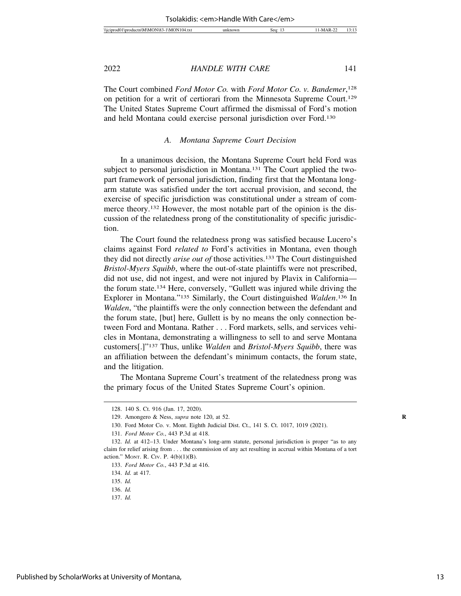The Court combined *Ford Motor Co.* with *Ford Motor Co. v. Bandemer*, 128 on petition for a writ of certiorari from the Minnesota Supreme Court.129 The United States Supreme Court affirmed the dismissal of Ford's motion and held Montana could exercise personal jurisdiction over Ford.130

#### *A. Montana Supreme Court Decision*

In a unanimous decision, the Montana Supreme Court held Ford was subject to personal jurisdiction in Montana.<sup>131</sup> The Court applied the twopart framework of personal jurisdiction, finding first that the Montana longarm statute was satisfied under the tort accrual provision, and second, the exercise of specific jurisdiction was constitutional under a stream of commerce theory.132 However, the most notable part of the opinion is the discussion of the relatedness prong of the constitutionality of specific jurisdiction.

The Court found the relatedness prong was satisfied because Lucero's claims against Ford *related to* Ford's activities in Montana, even though they did not directly *arise out of* those activities.133 The Court distinguished *Bristol-Myers Squibb*, where the out-of-state plaintiffs were not prescribed, did not use, did not ingest, and were not injured by Plavix in California the forum state.134 Here, conversely, "Gullett was injured while driving the Explorer in Montana."135 Similarly, the Court distinguished *Walden*. 136 In *Walden*, "the plaintiffs were the only connection between the defendant and the forum state, [but] here, Gullett is by no means the only connection between Ford and Montana. Rather . . . Ford markets, sells, and services vehicles in Montana, demonstrating a willingness to sell to and serve Montana customers[.]"137 Thus, unlike *Walden* and *Bristol-Myers Squibb*, there was an affiliation between the defendant's minimum contacts, the forum state, and the litigation.

The Montana Supreme Court's treatment of the relatedness prong was the primary focus of the United States Supreme Court's opinion.

<sup>128. 140</sup> S. Ct. 916 (Jan. 17, 2020).

<sup>129.</sup> Amongero & Ness, *supra* note 120, at 52. **R**

<sup>130.</sup> Ford Motor Co. v. Mont. Eighth Judicial Dist. Ct., 141 S. Ct. 1017, 1019 (2021).

<sup>131.</sup> *Ford Motor Co.*, 443 P.3d at 418.

<sup>132.</sup> *Id.* at 412–13. Under Montana's long-arm statute, personal jurisdiction is proper "as to any claim for relief arising from . . . the commission of any act resulting in accrual within Montana of a tort action." MONT. R. CIV. P. 4(b)(1)(B).

<sup>133.</sup> *Ford Motor Co.*, 443 P.3d at 416.

<sup>134.</sup> *Id.* at 417.

<sup>135.</sup> *Id.*

<sup>136.</sup> *Id.*

<sup>137.</sup> *Id.*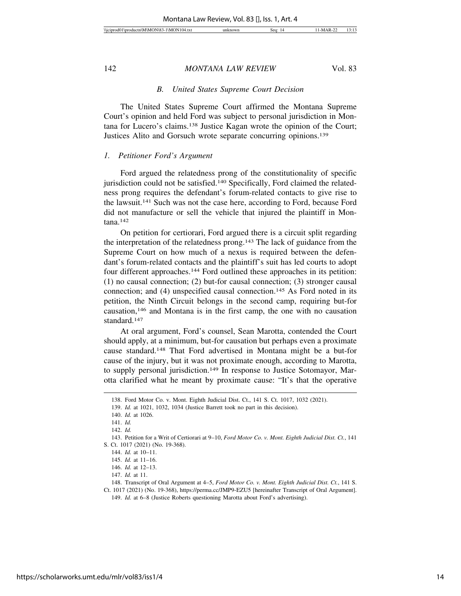#### \)\jciprod01\productn\M\MON\83-1\MON104.txt unknown Seq: 14 11-MAR-22 13:13

142 *MONTANA LAW REVIEW* Vol. 83

#### *B. United States Supreme Court Decision*

The United States Supreme Court affirmed the Montana Supreme Court's opinion and held Ford was subject to personal jurisdiction in Montana for Lucero's claims.138 Justice Kagan wrote the opinion of the Court; Justices Alito and Gorsuch wrote separate concurring opinions.139

#### *1. Petitioner Ford's Argument*

Ford argued the relatedness prong of the constitutionality of specific jurisdiction could not be satisfied.<sup>140</sup> Specifically, Ford claimed the relatedness prong requires the defendant's forum-related contacts to give rise to the lawsuit.141 Such was not the case here, according to Ford, because Ford did not manufacture or sell the vehicle that injured the plaintiff in Montana.142

On petition for certiorari, Ford argued there is a circuit split regarding the interpretation of the relatedness prong.143 The lack of guidance from the Supreme Court on how much of a nexus is required between the defendant's forum-related contacts and the plaintiff's suit has led courts to adopt four different approaches.144 Ford outlined these approaches in its petition: (1) no causal connection; (2) but-for causal connection; (3) stronger causal connection; and (4) unspecified causal connection.145 As Ford noted in its petition, the Ninth Circuit belongs in the second camp, requiring but-for causation,146 and Montana is in the first camp, the one with no causation standard.147

At oral argument, Ford's counsel, Sean Marotta, contended the Court should apply, at a minimum, but-for causation but perhaps even a proximate cause standard.148 That Ford advertised in Montana might be a but-for cause of the injury, but it was not proximate enough, according to Marotta, to supply personal jurisdiction.<sup>149</sup> In response to Justice Sotomayor, Marotta clarified what he meant by proximate cause: "It's that the operative

<sup>138.</sup> Ford Motor Co. v. Mont. Eighth Judicial Dist. Ct., 141 S. Ct. 1017, 1032 (2021).

<sup>139.</sup> *Id.* at 1021, 1032, 1034 (Justice Barrett took no part in this decision).

<sup>140.</sup> *Id.* at 1026.

<sup>141.</sup> *Id.*

<sup>142.</sup> *Id.*

<sup>143.</sup> Petition for a Writ of Certiorari at 9–10, *Ford Motor Co. v. Mont. Eighth Judicial Dist. Ct.*, 141 S. Ct. 1017 (2021) (No. 19-368).

<sup>144.</sup> *Id.* at 10–11.

<sup>145.</sup> *Id.* at 11–16.

<sup>146.</sup> *Id.* at 12–13.

<sup>147.</sup> *Id.* at 11.

<sup>148.</sup> Transcript of Oral Argument at 4–5, *Ford Motor Co. v. Mont. Eighth Judicial Dist. Ct.*, 141 S. Ct. 1017 (2021) (No. 19-368), https://perma.cc/JMP9-EZU5 [hereinafter Transcript of Oral Argument].

<sup>149.</sup> *Id.* at 6–8 (Justice Roberts questioning Marotta about Ford's advertising).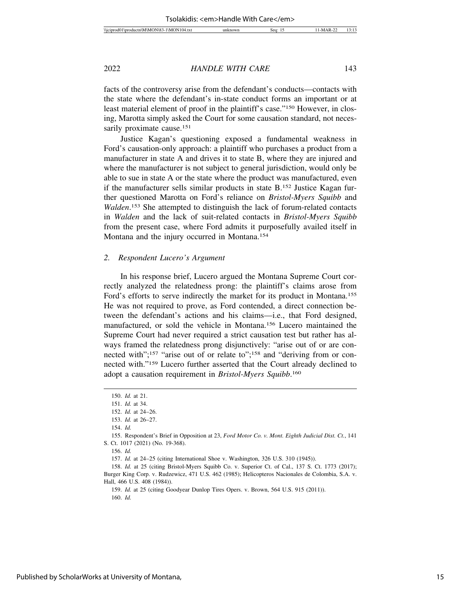facts of the controversy arise from the defendant's conducts—contacts with the state where the defendant's in-state conduct forms an important or at least material element of proof in the plaintiff's case."150 However, in closing, Marotta simply asked the Court for some causation standard, not necessarily proximate cause.<sup>151</sup>

Justice Kagan's questioning exposed a fundamental weakness in Ford's causation-only approach: a plaintiff who purchases a product from a manufacturer in state A and drives it to state B, where they are injured and where the manufacturer is not subject to general jurisdiction, would only be able to sue in state A or the state where the product was manufactured, even if the manufacturer sells similar products in state B.152 Justice Kagan further questioned Marotta on Ford's reliance on *Bristol-Myers Squibb* and *Walden*. 153 She attempted to distinguish the lack of forum-related contacts in *Walden* and the lack of suit-related contacts in *Bristol-Myers Squibb* from the present case, where Ford admits it purposefully availed itself in Montana and the injury occurred in Montana.<sup>154</sup>

#### *2. Respondent Lucero's Argument*

In his response brief, Lucero argued the Montana Supreme Court correctly analyzed the relatedness prong: the plaintiff's claims arose from Ford's efforts to serve indirectly the market for its product in Montana.155 He was not required to prove, as Ford contended, a direct connection between the defendant's actions and his claims—i.e., that Ford designed, manufactured, or sold the vehicle in Montana.156 Lucero maintained the Supreme Court had never required a strict causation test but rather has always framed the relatedness prong disjunctively: "arise out of or are connected with";<sup>157</sup> "arise out of or relate to";<sup>158</sup> and "deriving from or connected with."159 Lucero further asserted that the Court already declined to adopt a causation requirement in *Bristol-Myers Squibb*. 160

<sup>150.</sup> *Id.* at 21.

<sup>151.</sup> *Id.* at 34.

<sup>152.</sup> *Id.* at 24–26.

<sup>153.</sup> *Id.* at 26–27.

<sup>154.</sup> *Id.*

<sup>155.</sup> Respondent's Brief in Opposition at 23, *Ford Motor Co. v. Mont. Eighth Judicial Dist. Ct.*, 141 S. Ct. 1017 (2021) (No. 19-368).

<sup>156.</sup> *Id.*

<sup>157.</sup> *Id.* at 24–25 (citing International Shoe v. Washington, 326 U.S. 310 (1945)).

<sup>158.</sup> *Id.* at 25 (citing Bristol-Myers Squibb Co. v. Superior Ct. of Cal., 137 S. Ct. 1773 (2017); Burger King Corp. v. Rudzewicz, 471 U.S. 462 (1985); Helicopteros Nacionales de Colombia, S.A. v. Hall, 466 U.S. 408 (1984)).

<sup>159.</sup> *Id.* at 25 (citing Goodyear Dunlop Tires Opers. v. Brown, 564 U.S. 915 (2011)). 160. *Id.*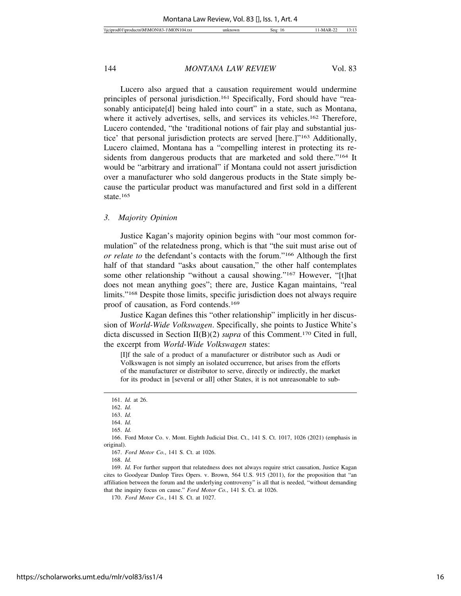Lucero also argued that a causation requirement would undermine principles of personal jurisdiction.<sup>161</sup> Specifically, Ford should have "reasonably anticipate<sup>[d]</sup> being haled into court" in a state, such as Montana, where it actively advertises, sells, and services its vehicles.<sup>162</sup> Therefore, Lucero contended, "the 'traditional notions of fair play and substantial justice' that personal jurisdiction protects are served [here.]"163 Additionally, Lucero claimed, Montana has a "compelling interest in protecting its residents from dangerous products that are marketed and sold there."164 It would be "arbitrary and irrational" if Montana could not assert jurisdiction over a manufacturer who sold dangerous products in the State simply because the particular product was manufactured and first sold in a different state.165

#### *3. Majority Opinion*

Justice Kagan's majority opinion begins with "our most common formulation" of the relatedness prong, which is that "the suit must arise out of *or relate to* the defendant's contacts with the forum."166 Although the first half of that standard "asks about causation," the other half contemplates some other relationship "without a causal showing."167 However, "[t]hat does not mean anything goes"; there are, Justice Kagan maintains, "real limits."168 Despite those limits, specific jurisdiction does not always require proof of causation, as Ford contends.169

Justice Kagan defines this "other relationship" implicitly in her discussion of *World-Wide Volkswagen*. Specifically, she points to Justice White's dicta discussed in Section II(B)(2) *supra* of this Comment.170 Cited in full, the excerpt from *World-Wide Volkswagen* states:

[I]f the sale of a product of a manufacturer or distributor such as Audi or Volkswagen is not simply an isolated occurrence, but arises from the efforts of the manufacturer or distributor to serve, directly or indirectly, the market for its product in [several or all] other States, it is not unreasonable to sub-

168. *Id.*

<sup>161.</sup> *Id.* at 26.

<sup>162.</sup> *Id.*

<sup>163.</sup> *Id.* 164. *Id.*

<sup>165.</sup> *Id.*

<sup>166.</sup> Ford Motor Co. v. Mont. Eighth Judicial Dist. Ct., 141 S. Ct. 1017, 1026 (2021) (emphasis in original).

<sup>167.</sup> *Ford Motor Co.*, 141 S. Ct. at 1026.

<sup>169.</sup> *Id.* For further support that relatedness does not always require strict causation, Justice Kagan cites to Goodyear Dunlop Tires Opers. v. Brown, 564 U.S. 915 (2011), for the proposition that "an affiliation between the forum and the underlying controversy" is all that is needed, "without demanding that the inquiry focus on cause." *Ford Motor Co.*, 141 S. Ct. at 1026.

<sup>170.</sup> *Ford Motor Co.*, 141 S. Ct. at 1027.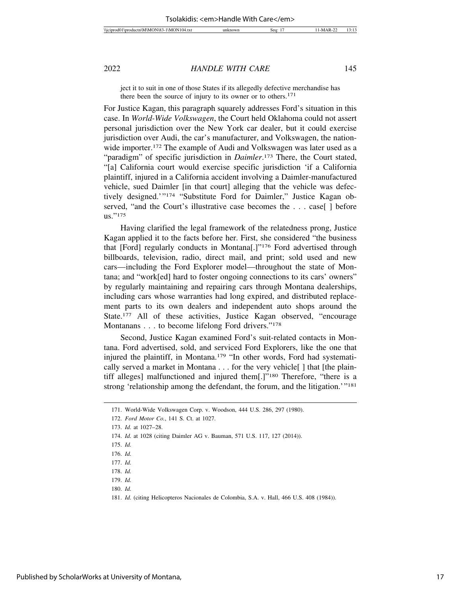ject it to suit in one of those States if its allegedly defective merchandise has there been the source of injury to its owner or to others.171

For Justice Kagan, this paragraph squarely addresses Ford's situation in this case. In *World-Wide Volkswagen*, the Court held Oklahoma could not assert personal jurisdiction over the New York car dealer, but it could exercise jurisdiction over Audi, the car's manufacturer, and Volkswagen, the nationwide importer.172 The example of Audi and Volkswagen was later used as a "paradigm" of specific jurisdiction in *Daimler*. 173 There, the Court stated, "[a] California court would exercise specific jurisdiction 'if a California plaintiff, injured in a California accident involving a Daimler-manufactured vehicle, sued Daimler [in that court] alleging that the vehicle was defectively designed.'"174 "Substitute Ford for Daimler," Justice Kagan observed, "and the Court's illustrative case becomes the . . . case [] before us."175

Having clarified the legal framework of the relatedness prong, Justice Kagan applied it to the facts before her. First, she considered "the business that [Ford] regularly conducts in Montana[.]"176 Ford advertised through billboards, television, radio, direct mail, and print; sold used and new cars—including the Ford Explorer model—throughout the state of Montana; and "work[ed] hard to foster ongoing connections to its cars' owners" by regularly maintaining and repairing cars through Montana dealerships, including cars whose warranties had long expired, and distributed replacement parts to its own dealers and independent auto shops around the State.<sup>177</sup> All of these activities, Justice Kagan observed, "encourage Montanans . . . to become lifelong Ford drivers."<sup>178</sup>

Second, Justice Kagan examined Ford's suit-related contacts in Montana. Ford advertised, sold, and serviced Ford Explorers, like the one that injured the plaintiff, in Montana.179 "In other words, Ford had systematically served a market in Montana . . . for the very vehicle[ ] that [the plaintiff alleges] malfunctioned and injured them[.]"180 Therefore, "there is a strong 'relationship among the defendant, the forum, and the litigation.'"<sup>181</sup>

<sup>171.</sup> World-Wide Volkswagen Corp. v. Woodson, 444 U.S. 286, 297 (1980).

<sup>172.</sup> *Ford Motor Co.*, 141 S. Ct. at 1027.

<sup>173.</sup> *Id.* at 1027–28.

<sup>174.</sup> *Id.* at 1028 (citing Daimler AG v. Bauman, 571 U.S. 117, 127 (2014)).

<sup>175.</sup> *Id.*

<sup>176.</sup> *Id.*

<sup>177.</sup> *Id.*

<sup>178.</sup> *Id.*

<sup>179.</sup> *Id.*

<sup>180.</sup> *Id.*

<sup>181.</sup> *Id.* (citing Helicopteros Nacionales de Colombia, S.A. v. Hall, 466 U.S. 408 (1984)).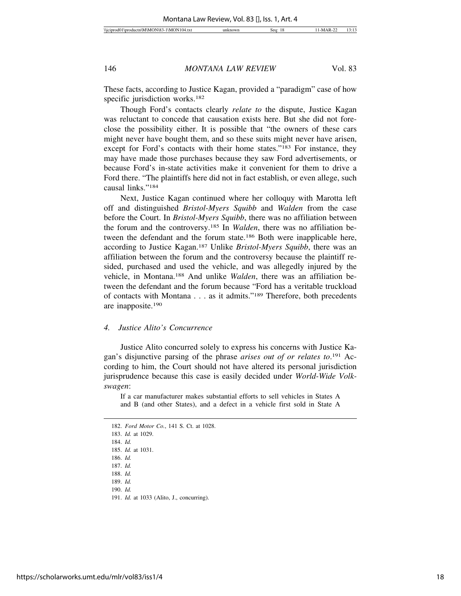These facts, according to Justice Kagan, provided a "paradigm" case of how specific jurisdiction works.<sup>182</sup>

Though Ford's contacts clearly *relate to* the dispute, Justice Kagan was reluctant to concede that causation exists here. But she did not foreclose the possibility either. It is possible that "the owners of these cars might never have bought them, and so these suits might never have arisen, except for Ford's contacts with their home states."183 For instance, they may have made those purchases because they saw Ford advertisements, or because Ford's in-state activities make it convenient for them to drive a Ford there. "The plaintiffs here did not in fact establish, or even allege, such causal links."184

Next, Justice Kagan continued where her colloquy with Marotta left off and distinguished *Bristol-Myers Squibb* and *Walden* from the case before the Court. In *Bristol-Myers Squibb*, there was no affiliation between the forum and the controversy.185 In *Walden*, there was no affiliation between the defendant and the forum state.186 Both were inapplicable here, according to Justice Kagan.187 Unlike *Bristol-Myers Squibb*, there was an affiliation between the forum and the controversy because the plaintiff resided, purchased and used the vehicle, and was allegedly injured by the vehicle, in Montana.188 And unlike *Walden*, there was an affiliation between the defendant and the forum because "Ford has a veritable truckload of contacts with Montana . . . as it admits."189 Therefore, both precedents are inapposite.190

#### *4. Justice Alito's Concurrence*

Justice Alito concurred solely to express his concerns with Justice Kagan's disjunctive parsing of the phrase *arises out of or relates to*. 191 According to him, the Court should not have altered its personal jurisdiction jurisprudence because this case is easily decided under *World-Wide Volkswagen*:

If a car manufacturer makes substantial efforts to sell vehicles in States A and B (and other States), and a defect in a vehicle first sold in State A

186. *Id.*

- 189. *Id.*
- 190. *Id.*
- 191. *Id.* at 1033 (Alito, J., concurring).

<sup>182.</sup> *Ford Motor Co.*, 141 S. Ct. at 1028.

<sup>183.</sup> *Id.* at 1029.

<sup>184.</sup> *Id.*

<sup>185.</sup> *Id.* at 1031.

<sup>187.</sup> *Id.* 188. *Id.*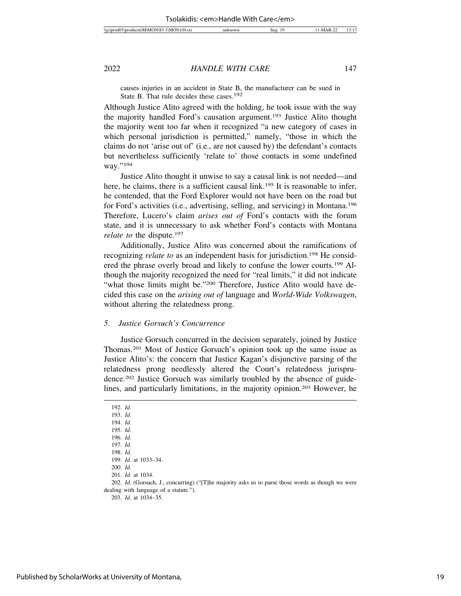causes injuries in an accident in State B, the manufacturer can be sued in State B. That rule decides these cases.192

Although Justice Alito agreed with the holding, he took issue with the way the majority handled Ford's causation argument.193 Justice Alito thought the majority went too far when it recognized "a new category of cases in which personal jurisdiction is permitted," namely, "those in which the claims do not 'arise out of' (i.e., are not caused by) the defendant's contacts but nevertheless sufficiently 'relate to' those contacts in some undefined way."194

Justice Alito thought it unwise to say a causal link is not needed—and here, he claims, there is a sufficient causal link.<sup>195</sup> It is reasonable to infer, he contended, that the Ford Explorer would not have been on the road but for Ford's activities (i.e., advertising, selling, and servicing) in Montana.196 Therefore, Lucero's claim *arises out of* Ford's contacts with the forum state, and it is unnecessary to ask whether Ford's contacts with Montana *relate to the dispute.*<sup>197</sup>

Additionally, Justice Alito was concerned about the ramifications of recognizing *relate to* as an independent basis for jurisdiction.<sup>198</sup> He considered the phrase overly broad and likely to confuse the lower courts.199 Although the majority recognized the need for "real limits," it did not indicate "what those limits might be."200 Therefore, Justice Alito would have decided this case on the *arising out of* language and *World-Wide Volkswagen*, without altering the relatedness prong.

#### *5. Justice Gorsuch's Concurrence*

Justice Gorsuch concurred in the decision separately, joined by Justice Thomas.201 Most of Justice Gorsuch's opinion took up the same issue as Justice Alito's: the concern that Justice Kagan's disjunctive parsing of the relatedness prong needlessly altered the Court's relatedness jurisprudence.202 Justice Gorsuch was similarly troubled by the absence of guidelines, and particularly limitations, in the majority opinion.<sup>203</sup> However, he

194. *Id.* 195. *Id.*

196. *Id.*

197. *Id.*

199. *Id.* at 1033–34.

201. *Id.* at 1034.

202. *Id.* (Gorsuch, J., concurring) ("[T]he majority asks us to parse those words as though we were dealing with language of a statute.").

203. *Id.* at 1034–35.

<sup>192.</sup> *Id.*

<sup>193.</sup> *Id.*

<sup>198.</sup> *Id.*

<sup>200.</sup> *Id.*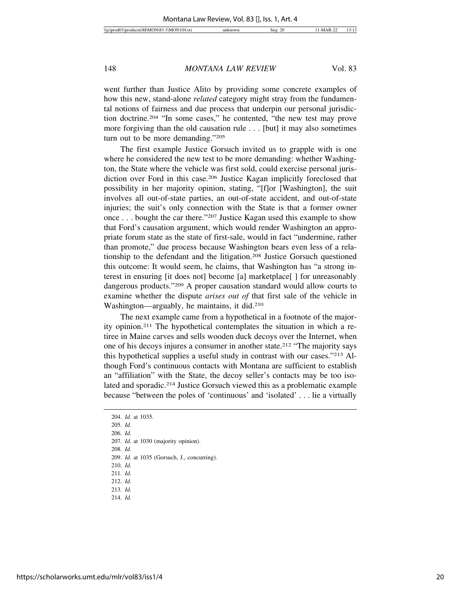went further than Justice Alito by providing some concrete examples of how this new, stand-alone *related* category might stray from the fundamental notions of fairness and due process that underpin our personal jurisdiction doctrine.204 "In some cases," he contented, "the new test may prove more forgiving than the old causation rule . . . [but] it may also sometimes turn out to be more demanding."205

The first example Justice Gorsuch invited us to grapple with is one where he considered the new test to be more demanding: whether Washington, the State where the vehicle was first sold, could exercise personal jurisdiction over Ford in this case.206 Justice Kagan implicitly foreclosed that possibility in her majority opinion, stating, "[f]or [Washington], the suit involves all out-of-state parties, an out-of-state accident, and out-of-state injuries; the suit's only connection with the State is that a former owner once . . . bought the car there."207 Justice Kagan used this example to show that Ford's causation argument, which would render Washington an appropriate forum state as the state of first-sale, would in fact "undermine, rather than promote," due process because Washington bears even less of a relationship to the defendant and the litigation.208 Justice Gorsuch questioned this outcome: It would seem, he claims, that Washington has "a strong interest in ensuring [it does not] become [a] marketplace[ ] for unreasonably dangerous products."209 A proper causation standard would allow courts to examine whether the dispute *arises out of* that first sale of the vehicle in Washington—arguably, he maintains, it did.210

The next example came from a hypothetical in a footnote of the majority opinion.211 The hypothetical contemplates the situation in which a retiree in Maine carves and sells wooden duck decoys over the Internet, when one of his decoys injures a consumer in another state.212 "The majority says this hypothetical supplies a useful study in contrast with our cases."213 Although Ford's continuous contacts with Montana are sufficient to establish an "affiliation" with the State, the decoy seller's contacts may be too isolated and sporadic.<sup>214</sup> Justice Gorsuch viewed this as a problematic example because "between the poles of 'continuous' and 'isolated' . . . lie a virtually

205. *Id.*

206. *Id.*

207. *Id.* at 1030 (majority opinion).

208. *Id.*

209. *Id.* at 1035 (Gorsuch, J., concurring).

210. *Id.*

211. *Id.*

212. *Id.* 213. *Id.*

214. *Id.*

<sup>204.</sup> *Id.* at 1035.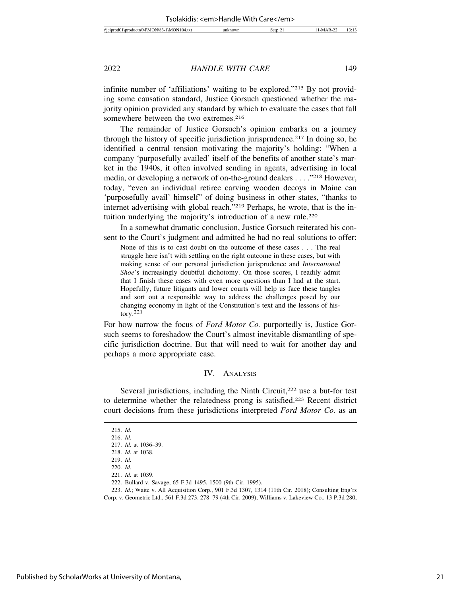infinite number of 'affiliations' waiting to be explored."215 By not providing some causation standard, Justice Gorsuch questioned whether the majority opinion provided any standard by which to evaluate the cases that fall somewhere between the two extremes.<sup>216</sup>

The remainder of Justice Gorsuch's opinion embarks on a journey through the history of specific jurisdiction jurisprudence.<sup>217</sup> In doing so, he identified a central tension motivating the majority's holding: "When a company 'purposefully availed' itself of the benefits of another state's market in the 1940s, it often involved sending in agents, advertising in local media, or developing a network of on-the-ground dealers . . . ."218 However, today, "even an individual retiree carving wooden decoys in Maine can 'purposefully avail' himself" of doing business in other states, "thanks to internet advertising with global reach."219 Perhaps, he wrote, that is the intuition underlying the majority's introduction of a new rule.<sup>220</sup>

In a somewhat dramatic conclusion, Justice Gorsuch reiterated his consent to the Court's judgment and admitted he had no real solutions to offer:

None of this is to cast doubt on the outcome of these cases . . . The real struggle here isn't with settling on the right outcome in these cases, but with making sense of our personal jurisdiction jurisprudence and *International Shoe*'s increasingly doubtful dichotomy. On those scores, I readily admit that I finish these cases with even more questions than I had at the start. Hopefully, future litigants and lower courts will help us face these tangles and sort out a responsible way to address the challenges posed by our changing economy in light of the Constitution's text and the lessons of history. $221$ 

For how narrow the focus of *Ford Motor Co.* purportedly is, Justice Gorsuch seems to foreshadow the Court's almost inevitable dismantling of specific jurisdiction doctrine. But that will need to wait for another day and perhaps a more appropriate case.

#### IV. ANALYSIS

Several jurisdictions, including the Ninth Circuit,<sup>222</sup> use a but-for test to determine whether the relatedness prong is satisfied.223 Recent district court decisions from these jurisdictions interpreted *Ford Motor Co.* as an

<sup>215.</sup> *Id.*

<sup>216.</sup> *Id.*

<sup>217.</sup> *Id.* at 1036–39.

<sup>218.</sup> *Id.* at 1038.

<sup>219.</sup> *Id.*

<sup>220.</sup> *Id.*

<sup>221.</sup> *Id.* at 1039.

<sup>222.</sup> Bullard v. Savage, 65 F.3d 1495, 1500 (9th Cir. 1995).

<sup>223.</sup> *Id.*; Waite v. All Acquisition Corp., 901 F.3d 1307, 1314 (11th Cir. 2018); Consulting Eng'rs

Corp. v. Geometric Ltd., 561 F.3d 273, 278–79 (4th Cir. 2009); Williams v. Lakeview Co., 13 P.3d 280,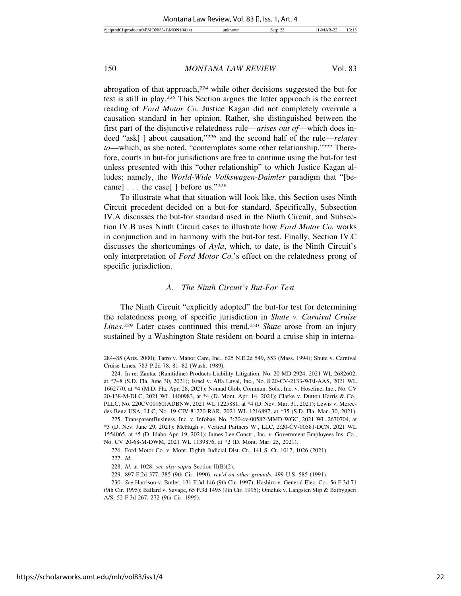abrogation of that approach,224 while other decisions suggested the but-for test is still in play.225 This Section argues the latter approach is the correct reading of *Ford Motor Co.* Justice Kagan did not completely overrule a causation standard in her opinion. Rather, she distinguished between the first part of the disjunctive relatedness rule—*arises out of*—which does indeed "ask[ ] about causation,"226 and the second half of the rule—*relates to*—which, as she noted, "contemplates some other relationship."227 Therefore, courts in but-for jurisdictions are free to continue using the but-for test unless presented with this "other relationship" to which Justice Kagan alludes; namely, the *World-Wide Volkswagen*-*Daimler* paradigm that "[became] . . . the case[ ] before us."228

To illustrate what that situation will look like, this Section uses Ninth Circuit precedent decided on a but-for standard. Specifically, Subsection IV.A discusses the but-for standard used in the Ninth Circuit, and Subsection IV.B uses Ninth Circuit cases to illustrate how *Ford Motor Co.* works in conjunction and in harmony with the but-for test. Finally, Section IV.C discusses the shortcomings of *Ayla*, which, to date, is the Ninth Circuit's only interpretation of *Ford Motor Co.*'s effect on the relatedness prong of specific jurisdiction.

#### *A. The Ninth Circuit's But-For Test*

The Ninth Circuit "explicitly adopted" the but-for test for determining the relatedness prong of specific jurisdiction in *Shute v. Carnival Cruise Lines*. 229 Later cases continued this trend.230 *Shute* arose from an injury sustained by a Washington State resident on-board a cruise ship in interna-

<sup>284–85 (</sup>Ariz. 2000); Tatro v. Manor Care, Inc., 625 N.E.2d 549, 553 (Mass. 1994); Shute v. Carnival Cruise Lines, 783 P.2d 78, 81–82 (Wash. 1989).

<sup>224.</sup> In re: Zantac (Ranitidine) Products Liability Litigation, No. 20-MD-2924, 2021 WL 2682602, at \*7–8 (S.D. Fla. June 30, 2021); Israel v. Alfa Laval, Inc., No. 8:20-CV-2133-WFJ-AAS, 2021 WL 1662770, at \*4 (M.D. Fla. Apr. 28, 2021); Nomad Glob. Commun. Sols., Inc. v. Hoseline, Inc., No. CV 20-138-M-DLC, 2021 WL 1400983, at \*4 (D. Mont. Apr. 14, 2021); Clarke v. Dutton Harris & Co., PLLC, No. 220CV00160JADBNW, 2021 WL 1225881, at \*4 (D. Nev. Mar. 31, 2021); Lewis v. Mercedes-Benz USA, LLC, No. 19-CIV-81220-RAR, 2021 WL 1216897, at \*35 (S.D. Fla. Mar. 30, 2021).

<sup>225.</sup> TransparentBusiness, Inc. v. Infobae, No. 3:20-cv-00582-MMD-WGC, 2021 WL 2670704, at \*3 (D. Nev. June 29, 2021); McHugh v. Vertical Partners W., LLC, 2:20-CV-00581-DCN, 2021 WL 1554065, at \*5 (D. Idaho Apr. 19, 2021); James Lee Constr., Inc. v. Government Employees Ins. Co., No. CV 20-68-M-DWM, 2021 WL 1139876, at \*2 (D. Mont. Mar. 25, 2021).

<sup>226.</sup> Ford Motor Co. v. Mont. Eighth Judicial Dist. Ct., 141 S. Ct. 1017, 1026 (2021).

<sup>227.</sup> *Id.*

<sup>228.</sup> *Id.* at 1028; *see also supra* Section II(B)(2).

<sup>229. 897</sup> F.2d 377, 385 (9th Cir. 1990), *rev'd on other grounds*, 499 U.S. 585 (1991).

<sup>230.</sup> *See* Harrison v. Butler, 131 F.3d 146 (9th Cir. 1997); Hashiro v. General Elec. Co., 56 F.3d 71 (9th Cir. 1995); Ballard v. Savage, 65 F.3d 1495 (9th Cir. 1995); Omeluk v. Langsten Slip & Batbyggeri A/S, 52 F.3d 267, 272 (9th Cir. 1995).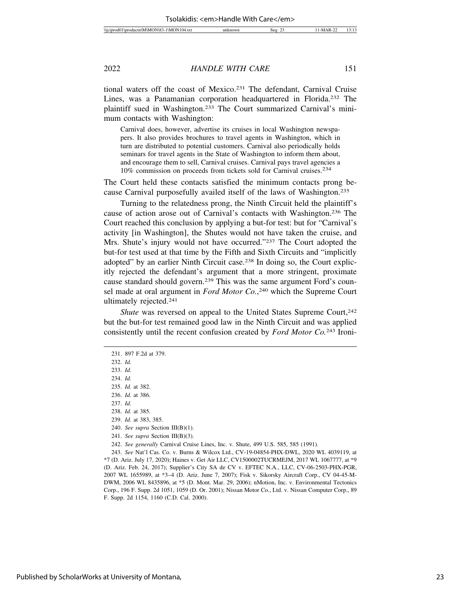tional waters off the coast of Mexico.231 The defendant, Carnival Cruise Lines, was a Panamanian corporation headquartered in Florida.232 The plaintiff sued in Washington.233 The Court summarized Carnival's minimum contacts with Washington:

Carnival does, however, advertise its cruises in local Washington newspapers. It also provides brochures to travel agents in Washington, which in turn are distributed to potential customers. Carnival also periodically holds seminars for travel agents in the State of Washington to inform them about, and encourage them to sell, Carnival cruises. Carnival pays travel agencies a 10% commission on proceeds from tickets sold for Carnival cruises.234

The Court held these contacts satisfied the minimum contacts prong because Carnival purposefully availed itself of the laws of Washington.235

Turning to the relatedness prong, the Ninth Circuit held the plaintiff's cause of action arose out of Carnival's contacts with Washington.236 The Court reached this conclusion by applying a but-for test: but for "Carnival's activity [in Washington], the Shutes would not have taken the cruise, and Mrs. Shute's injury would not have occurred."<sup>237</sup> The Court adopted the but-for test used at that time by the Fifth and Sixth Circuits and "implicitly adopted" by an earlier Ninth Circuit case.<sup>238</sup> In doing so, the Court explicitly rejected the defendant's argument that a more stringent, proximate cause standard should govern.239 This was the same argument Ford's counsel made at oral argument in *Ford Motor Co.*,<sup>240</sup> which the Supreme Court ultimately rejected.241

*Shute* was reversed on appeal to the United States Supreme Court,<sup>242</sup> but the but-for test remained good law in the Ninth Circuit and was applied consistently until the recent confusion created by *Ford Motor Co.*243 Ironi-

234. *Id.*

235. *Id.* at 382.

236. *Id.* at 386.

<sup>231. 897</sup> F.2d at 379.

<sup>232.</sup> *Id.*

<sup>233.</sup> *Id.*

<sup>237.</sup> *Id.*

<sup>238.</sup> *Id.* at 385.

<sup>239.</sup> *Id.* at 383, 385.

<sup>240.</sup> *See supra* Section III(B)(1).

<sup>241.</sup> *See supra* Section III(B)(3).

<sup>242.</sup> *See generally* Carnival Cruise Lines, Inc. v. Shute, 499 U.S. 585, 585 (1991).

<sup>243.</sup> *See* Nat'l Cas. Co. v. Burns & Wilcox Ltd., CV-19-04854-PHX-DWL, 2020 WL 4039119, at \*7 (D. Ariz. July 17, 2020); Haines v. Get Air LLC, CV1500002TUCRMEJM, 2017 WL 1067777, at \*9 (D. Ariz. Feb. 24, 2017); Supplier's City SA de CV v. EFTEC N.A., LLC, CV-06-2503-PHX-PGR, 2007 WL 1655989, at \*3–4 (D. Ariz. June 7, 2007); Fisk v. Sikorsky Aircraft Corp., CV 04-45-M-DWM, 2006 WL 8435896, at \*5 (D. Mont. Mar. 29, 2006); nMotion, Inc. v. Environmental Tectonics Corp., 196 F. Supp. 2d 1051, 1059 (D. Or. 2001); Nissan Motor Co., Ltd. v. Nissan Computer Corp., 89 F. Supp. 2d 1154, 1160 (C.D. Cal. 2000).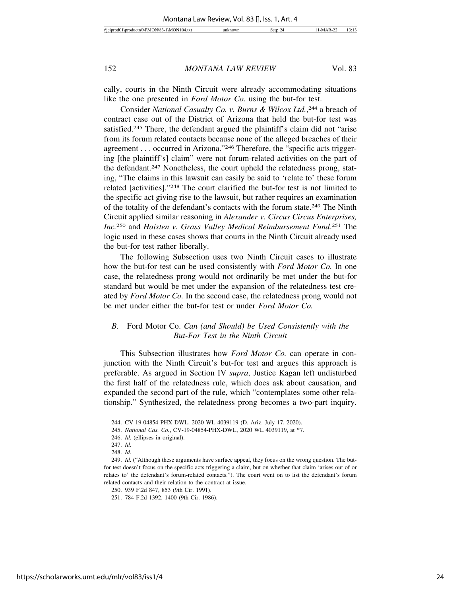cally, courts in the Ninth Circuit were already accommodating situations like the one presented in *Ford Motor Co.* using the but-for test.

Consider *National Casualty Co. v. Burns & Wilcox Ltd.*, 244 a breach of contract case out of the District of Arizona that held the but-for test was satisfied.245 There, the defendant argued the plaintiff's claim did not "arise from its forum related contacts because none of the alleged breaches of their agreement . . . occurred in Arizona."246 Therefore, the "specific acts triggering [the plaintiff's] claim" were not forum-related activities on the part of the defendant.247 Nonetheless, the court upheld the relatedness prong, stating, "The claims in this lawsuit can easily be said to 'relate to' these forum related [activities]."248 The court clarified the but-for test is not limited to the specific act giving rise to the lawsuit, but rather requires an examination of the totality of the defendant's contacts with the forum state.249 The Ninth Circuit applied similar reasoning in *Alexander v. Circus Circus Enterprises, Inc.*250 and *Haisten v. Grass Valley Medical Reimbursement Fund*. 251 The logic used in these cases shows that courts in the Ninth Circuit already used the but-for test rather liberally.

The following Subsection uses two Ninth Circuit cases to illustrate how the but-for test can be used consistently with *Ford Motor Co.* In one case, the relatedness prong would not ordinarily be met under the but-for standard but would be met under the expansion of the relatedness test created by *Ford Motor Co.* In the second case, the relatedness prong would not be met under either the but-for test or under *Ford Motor Co.*

## *B.* Ford Motor Co. *Can (and Should) be Used Consistently with the But-For Test in the Ninth Circuit*

This Subsection illustrates how *Ford Motor Co.* can operate in conjunction with the Ninth Circuit's but-for test and argues this approach is preferable. As argued in Section IV *supra*, Justice Kagan left undisturbed the first half of the relatedness rule, which does ask about causation, and expanded the second part of the rule, which "contemplates some other relationship." Synthesized, the relatedness prong becomes a two-part inquiry.

<sup>244.</sup> CV-19-04854-PHX-DWL, 2020 WL 4039119 (D. Ariz. July 17, 2020).

<sup>245.</sup> *National Cas. Co.*, CV-19-04854-PHX-DWL, 2020 WL 4039119, at \*7.

<sup>246.</sup> *Id.* (ellipses in original).

<sup>247.</sup> *Id.*

<sup>248.</sup> *Id.*

<sup>249.</sup> *Id.* ("Although these arguments have surface appeal, they focus on the wrong question. The butfor test doesn't focus on the specific acts triggering a claim, but on whether that claim 'arises out of or relates to' the defendant's forum-related contacts."). The court went on to list the defendant's forum related contacts and their relation to the contract at issue.

<sup>250. 939</sup> F.2d 847, 853 (9th Cir. 1991).

<sup>251. 784</sup> F.2d 1392, 1400 (9th Cir. 1986).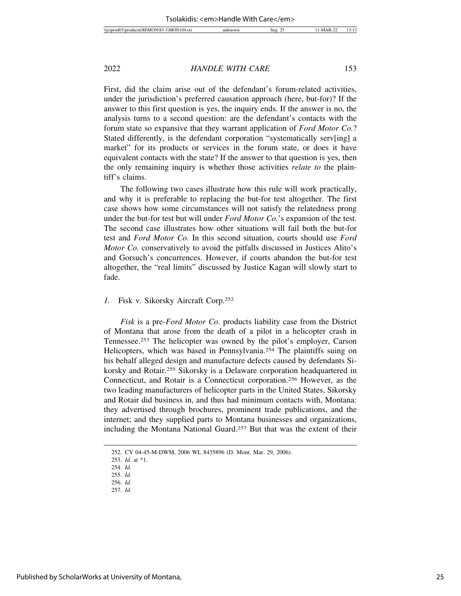First, did the claim arise out of the defendant's forum-related activities, under the jurisdiction's preferred causation approach (here, but-for)? If the answer to this first question is yes, the inquiry ends. If the answer is no, the analysis turns to a second question: are the defendant's contacts with the forum state so expansive that they warrant application of *Ford Motor Co.*? Stated differently, is the defendant corporation "systematically serv[ing] a market" for its products or services in the forum state, or does it have equivalent contacts with the state? If the answer to that question is yes, then the only remaining inquiry is whether those activities *relate to* the plaintiff's claims.

The following two cases illustrate how this rule will work practically, and why it is preferable to replacing the but-for test altogether. The first case shows how some circumstances will not satisfy the relatedness prong under the but-for test but will under *Ford Motor Co.*'s expansion of the test. The second case illustrates how other situations will fail both the but-for test and *Ford Motor Co.* In this second situation, courts should use *Ford Motor Co.* conservatively to avoid the pitfalls discussed in Justices Alito's and Gorsuch's concurrences. However, if courts abandon the but-for test altogether, the "real limits" discussed by Justice Kagan will slowly start to fade.

#### *1.* Fisk v. Sikorsky Aircraft Corp.252

*Fisk* is a pre-*Ford Motor Co.* products liability case from the District of Montana that arose from the death of a pilot in a helicopter crash in Tennessee.253 The helicopter was owned by the pilot's employer, Carson Helicopters, which was based in Pennsylvania.<sup>254</sup> The plaintiffs suing on his behalf alleged design and manufacture defects caused by defendants Sikorsky and Rotair.255 Sikorsky is a Delaware corporation headquartered in Connecticut, and Rotair is a Connecticut corporation.256 However, as the two leading manufacturers of helicopter parts in the United States, Sikorsky and Rotair did business in, and thus had minimum contacts with, Montana: they advertised through brochures, prominent trade publications, and the internet; and they supplied parts to Montana businesses and organizations, including the Montana National Guard.257 But that was the extent of their

<sup>252.</sup> CV 04-45-M-DWM, 2006 WL 8435896 (D. Mont. Mar. 29, 2006).

<sup>253.</sup> *Id.* at \*1.

<sup>254.</sup> *Id.* 255. *Id.*

<sup>256.</sup> *Id.* 257. *Id.*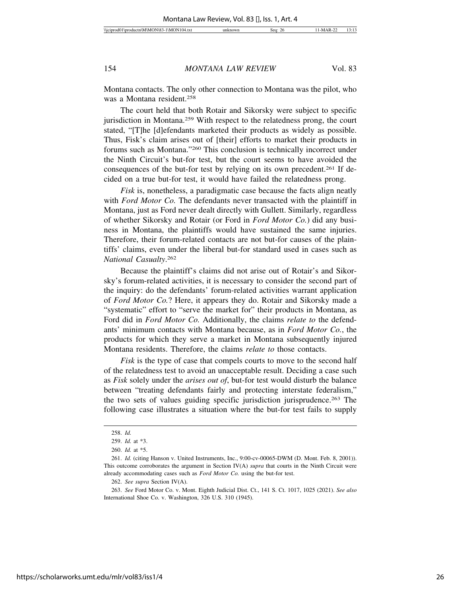Montana contacts. The only other connection to Montana was the pilot, who was a Montana resident.258

The court held that both Rotair and Sikorsky were subject to specific jurisdiction in Montana.259 With respect to the relatedness prong, the court stated, "[T]he [d]efendants marketed their products as widely as possible. Thus, Fisk's claim arises out of [their] efforts to market their products in forums such as Montana."260 This conclusion is technically incorrect under the Ninth Circuit's but-for test, but the court seems to have avoided the consequences of the but-for test by relying on its own precedent.261 If decided on a true but-for test, it would have failed the relatedness prong.

*Fisk* is, nonetheless, a paradigmatic case because the facts align neatly with *Ford Motor Co.* The defendants never transacted with the plaintiff in Montana, just as Ford never dealt directly with Gullett. Similarly, regardless of whether Sikorsky and Rotair (or Ford in *Ford Motor Co.*) did any business in Montana, the plaintiffs would have sustained the same injuries. Therefore, their forum-related contacts are not but-for causes of the plaintiffs' claims, even under the liberal but-for standard used in cases such as *National Casualty*. 262

Because the plaintiff's claims did not arise out of Rotair's and Sikorsky's forum-related activities, it is necessary to consider the second part of the inquiry: do the defendants' forum-related activities warrant application of *Ford Motor Co.*? Here, it appears they do. Rotair and Sikorsky made a "systematic" effort to "serve the market for" their products in Montana, as Ford did in *Ford Motor Co.* Additionally, the claims *relate to* the defendants' minimum contacts with Montana because, as in *Ford Motor Co.*, the products for which they serve a market in Montana subsequently injured Montana residents. Therefore, the claims *relate to* those contacts.

*Fisk* is the type of case that compels courts to move to the second half of the relatedness test to avoid an unacceptable result. Deciding a case such as *Fisk* solely under the *arises out of*, but-for test would disturb the balance between "treating defendants fairly and protecting interstate federalism," the two sets of values guiding specific jurisdiction jurisprudence.263 The following case illustrates a situation where the but-for test fails to supply

<sup>258.</sup> *Id.*

<sup>259.</sup> *Id.* at \*3.

<sup>260.</sup> *Id.* at \*5.

<sup>261.</sup> *Id.* (citing Hanson v. United Instruments, Inc., 9:00-cv-00065-DWM (D. Mont. Feb. 8, 2001)). This outcome corroborates the argument in Section IV(A) *supra* that courts in the Ninth Circuit were already accommodating cases such as *Ford Motor Co.* using the but-for test.

<sup>262.</sup> *See supra* Section IV(A).

<sup>263.</sup> *See* Ford Motor Co. v. Mont. Eighth Judicial Dist. Ct., 141 S. Ct. 1017, 1025 (2021). *See also* International Shoe Co. v. Washington, 326 U.S. 310 (1945).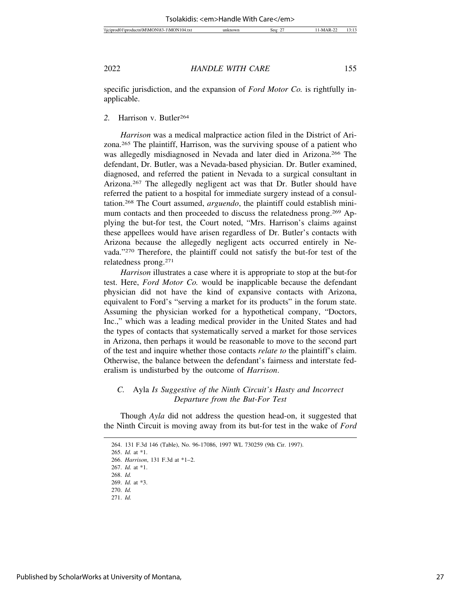specific jurisdiction, and the expansion of *Ford Motor Co.* is rightfully inapplicable.

*2.* Harrison v. Butler264

*Harrison* was a medical malpractice action filed in the District of Arizona.265 The plaintiff, Harrison, was the surviving spouse of a patient who was allegedly misdiagnosed in Nevada and later died in Arizona.266 The defendant, Dr. Butler, was a Nevada-based physician. Dr. Butler examined, diagnosed, and referred the patient in Nevada to a surgical consultant in Arizona.267 The allegedly negligent act was that Dr. Butler should have referred the patient to a hospital for immediate surgery instead of a consultation.268 The Court assumed, *arguendo*, the plaintiff could establish minimum contacts and then proceeded to discuss the relatedness prong.269 Applying the but-for test, the Court noted, "Mrs. Harrison's claims against these appellees would have arisen regardless of Dr. Butler's contacts with Arizona because the allegedly negligent acts occurred entirely in Nevada."270 Therefore, the plaintiff could not satisfy the but-for test of the relatedness prong.271

*Harrison* illustrates a case where it is appropriate to stop at the but-for test. Here, *Ford Motor Co.* would be inapplicable because the defendant physician did not have the kind of expansive contacts with Arizona, equivalent to Ford's "serving a market for its products" in the forum state. Assuming the physician worked for a hypothetical company, "Doctors, Inc.," which was a leading medical provider in the United States and had the types of contacts that systematically served a market for those services in Arizona, then perhaps it would be reasonable to move to the second part of the test and inquire whether those contacts *relate to* the plaintiff's claim. Otherwise, the balance between the defendant's fairness and interstate federalism is undisturbed by the outcome of *Harrison*.

## *C.* Ayla *Is Suggestive of the Ninth Circuit's Hasty and Incorrect Departure from the But-For Test*

Though *Ayla* did not address the question head-on, it suggested that the Ninth Circuit is moving away from its but-for test in the wake of *Ford*

<sup>264. 131</sup> F.3d 146 (Table), No. 96-17086, 1997 WL 730259 (9th Cir. 1997).

<sup>265.</sup> *Id.* at \*1.

<sup>266.</sup> *Harrison*, 131 F.3d at \*1–2.

<sup>267.</sup> *Id.* at \*1.

<sup>268.</sup> *Id.*

<sup>269.</sup> *Id.* at \*3. 270. *Id.*

<sup>271.</sup> *Id.*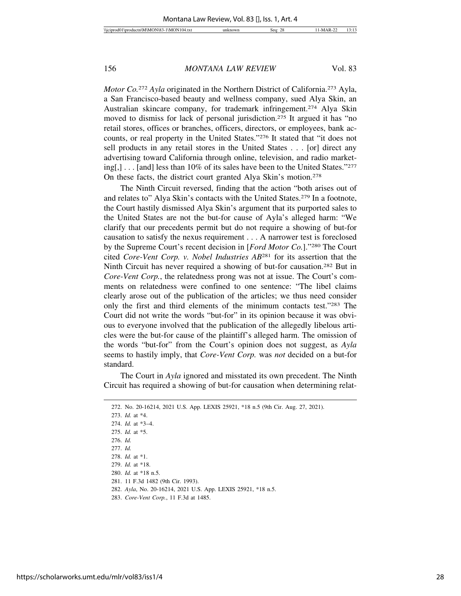*Motor Co.*<sup>272</sup> *Ayla* originated in the Northern District of California.<sup>273</sup> Ayla, a San Francisco-based beauty and wellness company, sued Alya Skin, an Australian skincare company, for trademark infringement.274 Alya Skin moved to dismiss for lack of personal jurisdiction.275 It argued it has "no retail stores, offices or branches, officers, directors, or employees, bank accounts, or real property in the United States."276 It stated that "it does not sell products in any retail stores in the United States . . . [or] direct any advertising toward California through online, television, and radio marketing[,] . . . [and] less than 10% of its sales have been to the United States."277 On these facts, the district court granted Alya Skin's motion.278

The Ninth Circuit reversed, finding that the action "both arises out of and relates to" Alya Skin's contacts with the United States.279 In a footnote, the Court hastily dismissed Alya Skin's argument that its purported sales to the United States are not the but-for cause of Ayla's alleged harm: "We clarify that our precedents permit but do not require a showing of but-for causation to satisfy the nexus requirement . . . A narrower test is foreclosed by the Supreme Court's recent decision in [*Ford Motor Co.*]."280 The Court cited *Core-Vent Corp. v. Nobel Industries AB*281 for its assertion that the Ninth Circuit has never required a showing of but-for causation.282 But in *Core-Vent Corp.*, the relatedness prong was not at issue. The Court's comments on relatedness were confined to one sentence: "The libel claims clearly arose out of the publication of the articles; we thus need consider only the first and third elements of the minimum contacts test."283 The Court did not write the words "but-for" in its opinion because it was obvious to everyone involved that the publication of the allegedly libelous articles were the but-for cause of the plaintiff's alleged harm. The omission of the words "but-for" from the Court's opinion does not suggest, as *Ayla* seems to hastily imply, that *Core-Vent Corp.* was *not* decided on a but-for standard.

The Court in *Ayla* ignored and misstated its own precedent. The Ninth Circuit has required a showing of but-for causation when determining relat-

<sup>272.</sup> No. 20-16214, 2021 U.S. App. LEXIS 25921, \*18 n.5 (9th Cir. Aug. 27, 2021).

<sup>273.</sup> *Id.* at \*4. 274. *Id.* at \*3–4. 275. *Id.* at \*5.

<sup>276.</sup> *Id.*

<sup>277.</sup> *Id.*

<sup>278.</sup> *Id.* at \*1.

<sup>279.</sup> *Id.* at \*18.

<sup>280.</sup> *Id.* at \*18 n.5.

<sup>281. 11</sup> F.3d 1482 (9th Cir. 1993).

<sup>282.</sup> *Ayla*, No. 20-16214, 2021 U.S. App. LEXIS 25921, \*18 n.5.

<sup>283.</sup> *Core-Vent Corp.*, 11 F.3d at 1485.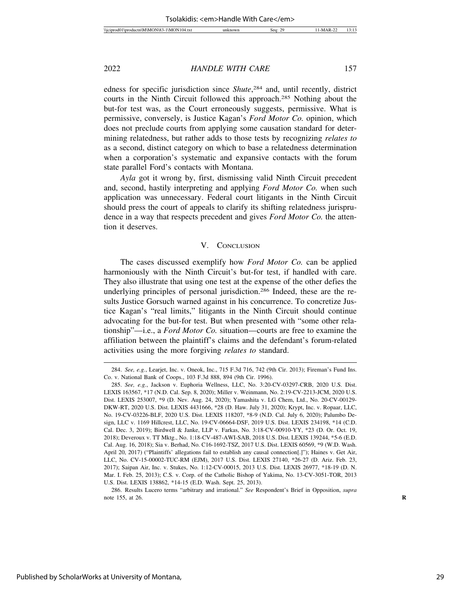edness for specific jurisdiction since *Shute*, 284 and, until recently, district courts in the Ninth Circuit followed this approach.285 Nothing about the but-for test was, as the Court erroneously suggests, permissive. What is permissive, conversely, is Justice Kagan's *Ford Motor Co.* opinion, which does not preclude courts from applying some causation standard for determining relatedness, but rather adds to those tests by recognizing *relates to* as a second, distinct category on which to base a relatedness determination when a corporation's systematic and expansive contacts with the forum state parallel Ford's contacts with Montana.

*Ayla* got it wrong by, first, dismissing valid Ninth Circuit precedent and, second, hastily interpreting and applying *Ford Motor Co.* when such application was unnecessary. Federal court litigants in the Ninth Circuit should press the court of appeals to clarify its shifting relatedness jurisprudence in a way that respects precedent and gives *Ford Motor Co.* the attention it deserves.

#### V. CONCLUSION

The cases discussed exemplify how *Ford Motor Co.* can be applied harmoniously with the Ninth Circuit's but-for test, if handled with care. They also illustrate that using one test at the expense of the other defies the underlying principles of personal jurisdiction.286 Indeed, these are the results Justice Gorsuch warned against in his concurrence. To concretize Justice Kagan's "real limits," litigants in the Ninth Circuit should continue advocating for the but-for test. But when presented with "some other relationship"—i.e., a *Ford Motor Co.* situation—courts are free to examine the affiliation between the plaintiff's claims and the defendant's forum-related activities using the more forgiving *relates to* standard.

<sup>284.</sup> *See, e.g.*, Learjet, Inc. v. Oneok, Inc., 715 F.3d 716, 742 (9th Cir. 2013); Fireman's Fund Ins. Co. v. National Bank of Coops., 103 F.3d 888, 894 (9th Cir. 1996).

<sup>285.</sup> *See, e.g.*, Jackson v. Euphoria Wellness, LLC, No. 3:20-CV-03297-CRB, 2020 U.S. Dist. LEXIS 163567, \*17 (N.D. Cal. Sep. 8, 2020); Miller v. Weinmann, No. 2:19-CV-2213-JCM, 2020 U.S. Dist. LEXIS 253007, \*9 (D. Nev. Aug. 24, 2020); Yamashita v. LG Chem, Ltd., No. 20-CV-00129- DKW-RT, 2020 U.S. Dist. LEXIS 4431666, \*28 (D. Haw. July 31, 2020); Krypt, Inc. v. Ropaar, LLC, No. 19-CV-03226-BLF, 2020 U.S. Dist. LEXIS 118207, \*8-9 (N.D. Cal. July 6, 2020); Palumbo Design, LLC v. 1169 Hillcrest, LLC, No. 19-CV-06664-DSF, 2019 U.S. Dist. LEXIS 234198, \*14 (C.D. Cal. Dec. 3, 2019); Birdwell & Janke, LLP v. Farkas, No. 3:18-CV-00910-YY, \*23 (D. Or. Oct. 19, 2018); Deveroux v. TT Mktg., No. 1:18-CV-487-AWI-SAB, 2018 U.S. Dist. LEXIS 139244, \*5-6 (E.D. Cal. Aug. 16, 2018); Sia v. Berhad, No. C16-1692-TSZ, 2017 U.S. Dist. LEXIS 60569, \*9 (W.D. Wash. April 20, 2017) ("Plaintiffs' allegations fail to establish any causal connection[.]"); Haines v. Get Air, LLC, No. CV-15-00002-TUC-RM (EJM), 2017 U.S. Dist. LEXIS 27140, \*26-27 (D. Ariz. Feb. 23, 2017); Saipan Air, Inc. v. Stukes, No. 1:12-CV-00015, 2013 U.S. Dist. LEXIS 26977, \*18-19 (D. N. Mar. I. Feb. 25, 2013); C.S. v. Corp. of the Catholic Bishop of Yakima, No. 13-CV-3051-TOR, 2013 U.S. Dist. LEXIS 138862, \*14-15 (E.D. Wash. Sept. 25, 2013).

<sup>286.</sup> Results Lucero terms "arbitrary and irrational." *See* Respondent's Brief in Opposition, *supra* note 155, at 26. **R**